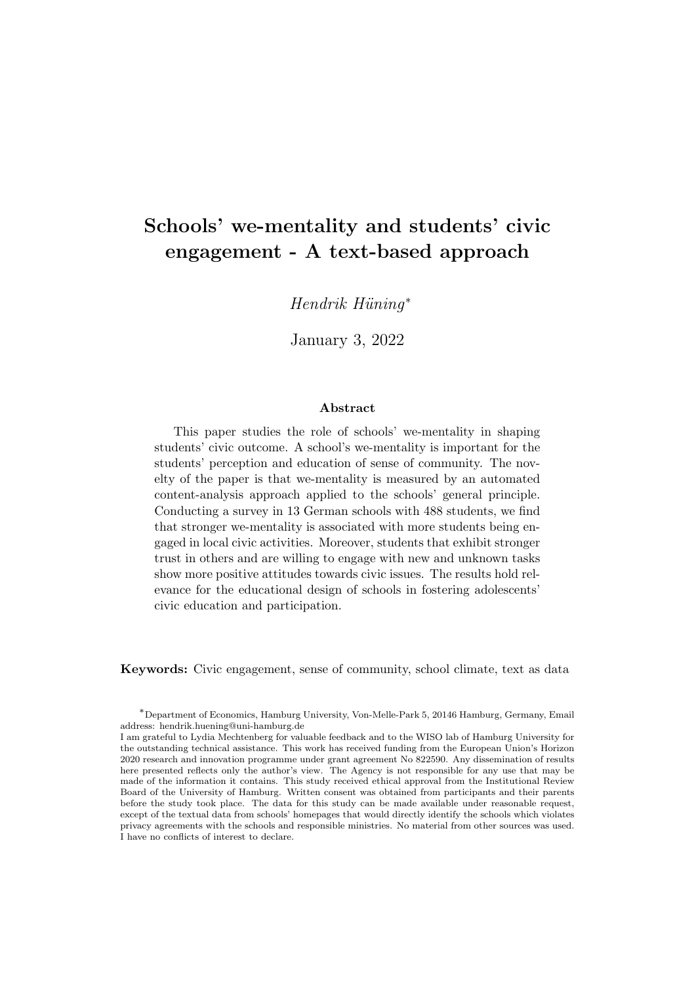## Schools' we-mentality and students' civic engagement - A text-based approach

 $Hendrik$   $Hüninq^*$ 

January 3, 2022

#### Abstract

This paper studies the role of schools' we-mentality in shaping students' civic outcome. A school's we-mentality is important for the students' perception and education of sense of community. The novelty of the paper is that we-mentality is measured by an automated content-analysis approach applied to the schools' general principle. Conducting a survey in 13 German schools with 488 students, we find that stronger we-mentality is associated with more students being engaged in local civic activities. Moreover, students that exhibit stronger trust in others and are willing to engage with new and unknown tasks show more positive attitudes towards civic issues. The results hold relevance for the educational design of schools in fostering adolescents' civic education and participation.

Keywords: Civic engagement, sense of community, school climate, text as data

<sup>∗</sup>Department of Economics, Hamburg University, Von-Melle-Park 5, 20146 Hamburg, Germany, Email address: hendrik.huening@uni-hamburg.de

I am grateful to Lydia Mechtenberg for valuable feedback and to the WISO lab of Hamburg University for the outstanding technical assistance. This work has received funding from the European Union's Horizon 2020 research and innovation programme under grant agreement No 822590. Any dissemination of results here presented reflects only the author's view. The Agency is not responsible for any use that may be made of the information it contains. This study received ethical approval from the Institutional Review Board of the University of Hamburg. Written consent was obtained from participants and their parents before the study took place. The data for this study can be made available under reasonable request, except of the textual data from schools' homepages that would directly identify the schools which violates privacy agreements with the schools and responsible ministries. No material from other sources was used. I have no conflicts of interest to declare.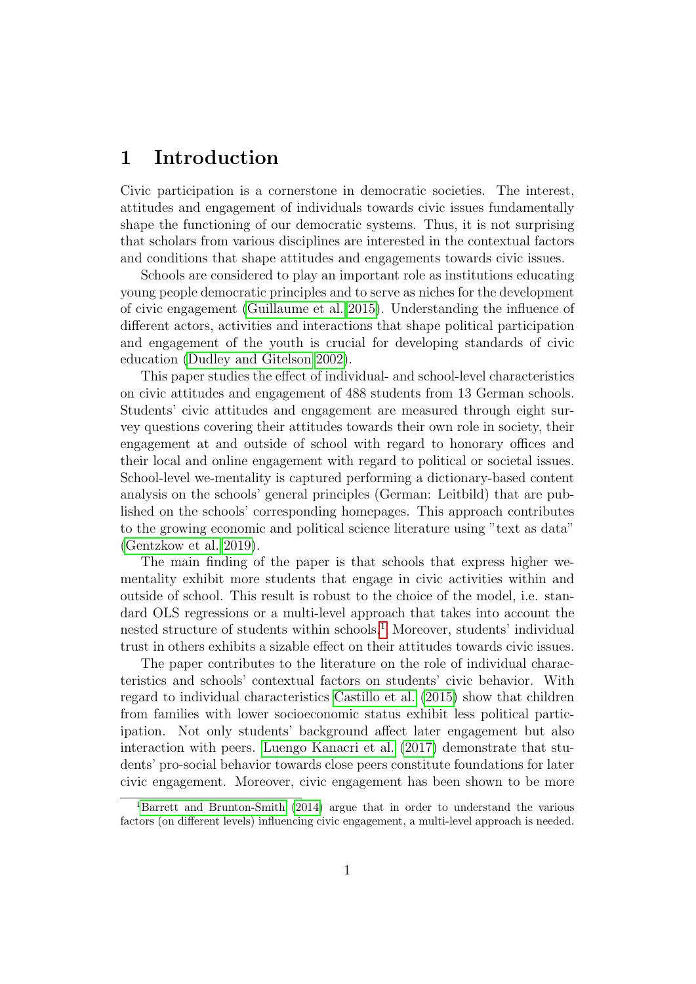## 1 Introduction

Civic participation is a cornerstone in democratic societies. The interest, attitudes and engagement of individuals towards civic issues fundamentally shape the functioning of our democratic systems. Thus, it is not surprising that scholars from various disciplines are interested in the contextual factors and conditions that shape attitudes and engagements towards civic issues.

Schools are considered to play an important role as institutions educating young people democratic principles and to serve as niches for the development of civic engagement [\(Guillaume et al. 2015\)](#page-16-0). Understanding the influence of different actors, activities and interactions that shape political participation and engagement of the youth is crucial for developing standards of civic education [\(Dudley and Gitelson 2002\)](#page-16-1).

This paper studies the effect of individual- and school-level characteristics on civic attitudes and engagement of 488 students from 13 German schools. Students' civic attitudes and engagement are measured through eight survey questions covering their attitudes towards their own role in society, their engagement at and outside of school with regard to honorary offices and their local and online engagement with regard to political or societal issues. School-level we-mentality is captured performing a dictionary-based content analysis on the schools' general principles (German: Leitbild) that are published on the schools' corresponding homepages. This approach contributes to the growing economic and political science literature using "text as data" [\(Gentzkow et al. 2019\)](#page-16-2).

The main finding of the paper is that schools that express higher wementality exhibit more students that engage in civic activities within and outside of school. This result is robust to the choice of the model, i.e. standard OLS regressions or a multi-level approach that takes into account the nested structure of students within schools.<sup>[1](#page-1-0)</sup> Moreover, students' individual trust in others exhibits a sizable effect on their attitudes towards civic issues.

The paper contributes to the literature on the role of individual characteristics and schools' contextual factors on students' civic behavior. With regard to individual characteristics [Castillo et al.](#page-16-3) [\(2015\)](#page-16-3) show that children from families with lower socioeconomic status exhibit less political participation. Not only students' background affect later engagement but also interaction with peers. [Luengo Kanacri et al.](#page-17-0) [\(2017\)](#page-17-0) demonstrate that students' pro-social behavior towards close peers constitute foundations for later civic engagement. Moreover, civic engagement has been shown to be more

<span id="page-1-0"></span><sup>1</sup>[Barrett and Brunton-Smith](#page-16-4) [\(2014\)](#page-16-4) argue that in order to understand the various factors (on different levels) influencing civic engagement, a multi-level approach is needed.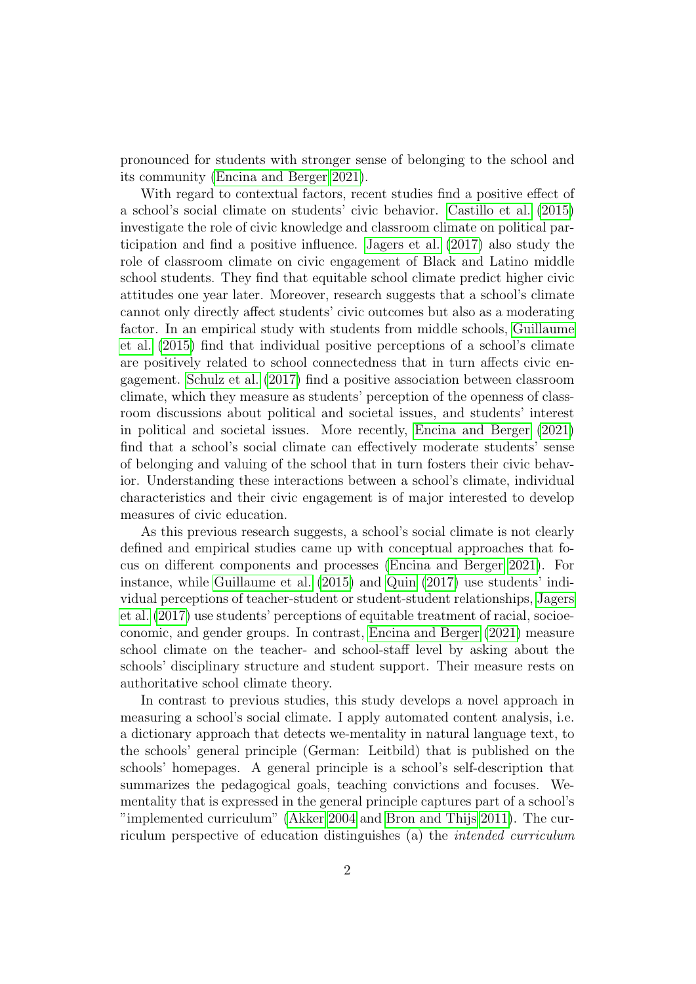pronounced for students with stronger sense of belonging to the school and its community [\(Encina and Berger 2021\)](#page-16-5).

With regard to contextual factors, recent studies find a positive effect of a school's social climate on students' civic behavior. [Castillo et al.](#page-16-3) [\(2015\)](#page-16-3) investigate the role of civic knowledge and classroom climate on political participation and find a positive influence. [Jagers et al.](#page-17-1) [\(2017\)](#page-17-1) also study the role of classroom climate on civic engagement of Black and Latino middle school students. They find that equitable school climate predict higher civic attitudes one year later. Moreover, research suggests that a school's climate cannot only directly affect students' civic outcomes but also as a moderating factor. In an empirical study with students from middle schools, [Guillaume](#page-16-0) [et al.](#page-16-0) [\(2015\)](#page-16-0) find that individual positive perceptions of a school's climate are positively related to school connectedness that in turn affects civic engagement. [Schulz et al.](#page-18-0) [\(2017\)](#page-18-0) find a positive association between classroom climate, which they measure as students' perception of the openness of classroom discussions about political and societal issues, and students' interest in political and societal issues. More recently, [Encina and Berger](#page-16-5) [\(2021\)](#page-16-5) find that a school's social climate can effectively moderate students' sense of belonging and valuing of the school that in turn fosters their civic behavior. Understanding these interactions between a school's climate, individual characteristics and their civic engagement is of major interested to develop measures of civic education.

As this previous research suggests, a school's social climate is not clearly defined and empirical studies came up with conceptual approaches that focus on different components and processes [\(Encina and Berger 2021\)](#page-16-5). For instance, while [Guillaume et al.](#page-16-0) [\(2015\)](#page-16-0) and [Quin](#page-18-1) [\(2017\)](#page-18-1) use students' individual perceptions of teacher-student or student-student relationships, [Jagers](#page-17-1) [et al.](#page-17-1) [\(2017\)](#page-17-1) use students' perceptions of equitable treatment of racial, socioeconomic, and gender groups. In contrast, [Encina and Berger](#page-16-5) [\(2021\)](#page-16-5) measure school climate on the teacher- and school-staff level by asking about the schools' disciplinary structure and student support. Their measure rests on authoritative school climate theory.

In contrast to previous studies, this study develops a novel approach in measuring a school's social climate. I apply automated content analysis, i.e. a dictionary approach that detects we-mentality in natural language text, to the schools' general principle (German: Leitbild) that is published on the schools' homepages. A general principle is a school's self-description that summarizes the pedagogical goals, teaching convictions and focuses. Wementality that is expressed in the general principle captures part of a school's "implemented curriculum" [\(Akker 2004](#page-16-6) and [Bron and Thijs 2011\)](#page-16-7). The curriculum perspective of education distinguishes (a) the intended curriculum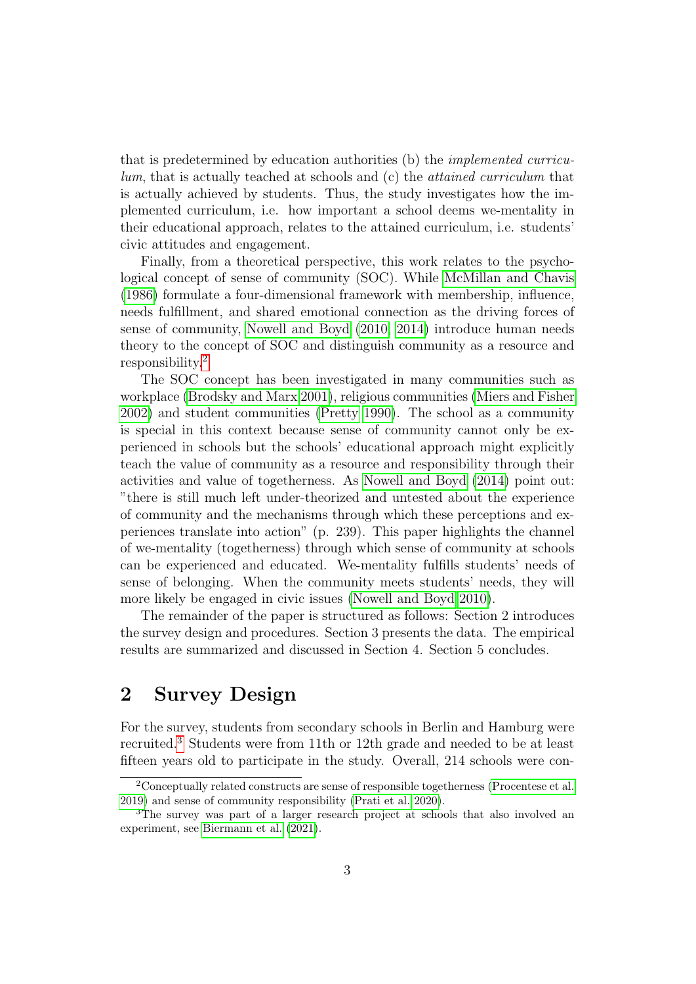that is predetermined by education authorities (b) the implemented curriculum, that is actually teached at schools and (c) the attained curriculum that is actually achieved by students. Thus, the study investigates how the implemented curriculum, i.e. how important a school deems we-mentality in their educational approach, relates to the attained curriculum, i.e. students' civic attitudes and engagement.

Finally, from a theoretical perspective, this work relates to the psychological concept of sense of community (SOC). While [McMillan and Chavis](#page-17-2) [\(1986\)](#page-17-2) formulate a four-dimensional framework with membership, influence, needs fulfillment, and shared emotional connection as the driving forces of sense of community, [Nowell and Boyd](#page-17-3) [\(2010,](#page-17-3) [2014\)](#page-17-4) introduce human needs theory to the concept of SOC and distinguish community as a resource and responsibility.[2](#page-3-0)

The SOC concept has been investigated in many communities such as workplace [\(Brodsky and Marx 2001\)](#page-16-8), religious communities [\(Miers and Fisher](#page-17-5) [2002\)](#page-17-5) and student communities [\(Pretty 1990\)](#page-17-6). The school as a community is special in this context because sense of community cannot only be experienced in schools but the schools' educational approach might explicitly teach the value of community as a resource and responsibility through their activities and value of togetherness. As [Nowell and Boyd](#page-17-4) [\(2014\)](#page-17-4) point out: "there is still much left under-theorized and untested about the experience of community and the mechanisms through which these perceptions and experiences translate into action" (p. 239). This paper highlights the channel of we-mentality (togetherness) through which sense of community at schools can be experienced and educated. We-mentality fulfills students' needs of sense of belonging. When the community meets students' needs, they will more likely be engaged in civic issues [\(Nowell and Boyd 2010\)](#page-17-3).

The remainder of the paper is structured as follows: Section 2 introduces the survey design and procedures. Section 3 presents the data. The empirical results are summarized and discussed in Section 4. Section 5 concludes.

### 2 Survey Design

For the survey, students from secondary schools in Berlin and Hamburg were recruited.[3](#page-3-1) Students were from 11th or 12th grade and needed to be at least fifteen years old to participate in the study. Overall, 214 schools were con-

<span id="page-3-0"></span><sup>2</sup>Conceptually related constructs are sense of responsible togetherness [\(Procentese et al.](#page-18-2) [2019\)](#page-18-2) and sense of community responsibility [\(Prati et al. 2020\)](#page-17-7).

<span id="page-3-1"></span><sup>&</sup>lt;sup>3</sup>The survey was part of a larger research project at schools that also involved an experiment, see [Biermann et al.](#page-16-9) [\(2021\)](#page-16-9).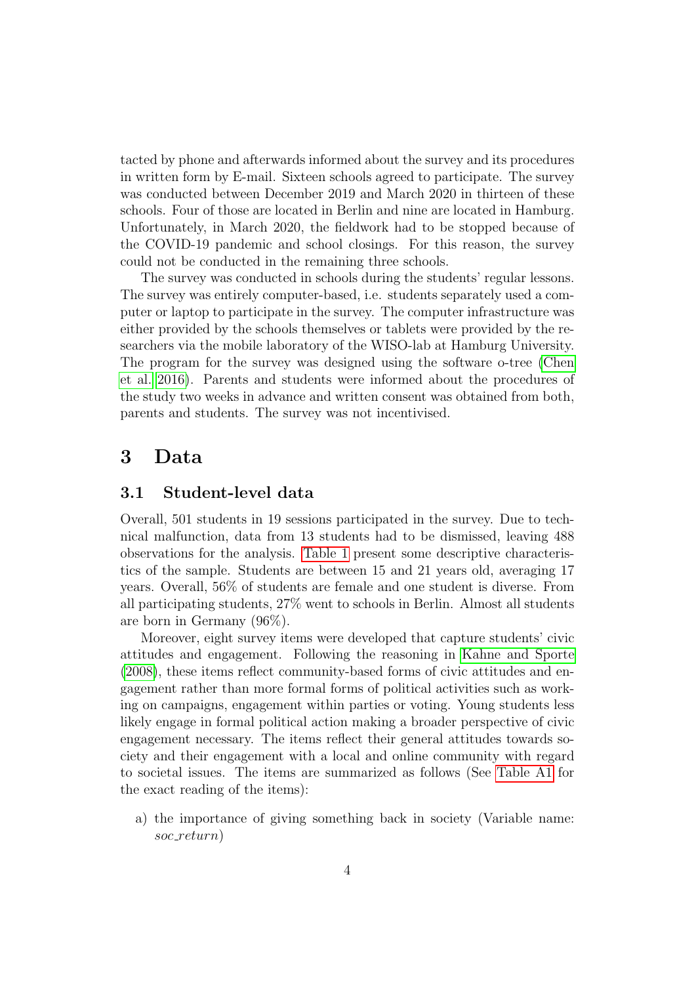tacted by phone and afterwards informed about the survey and its procedures in written form by E-mail. Sixteen schools agreed to participate. The survey was conducted between December 2019 and March 2020 in thirteen of these schools. Four of those are located in Berlin and nine are located in Hamburg. Unfortunately, in March 2020, the fieldwork had to be stopped because of the COVID-19 pandemic and school closings. For this reason, the survey could not be conducted in the remaining three schools.

The survey was conducted in schools during the students' regular lessons. The survey was entirely computer-based, i.e. students separately used a computer or laptop to participate in the survey. The computer infrastructure was either provided by the schools themselves or tablets were provided by the researchers via the mobile laboratory of the WISO-lab at Hamburg University. The program for the survey was designed using the software o-tree [\(Chen](#page-16-10) [et al. 2016\)](#page-16-10). Parents and students were informed about the procedures of the study two weeks in advance and written consent was obtained from both, parents and students. The survey was not incentivised.

### 3 Data

#### 3.1 Student-level data

Overall, 501 students in 19 sessions participated in the survey. Due to technical malfunction, data from 13 students had to be dismissed, leaving 488 observations for the analysis. [Table 1](#page-5-0) present some descriptive characteristics of the sample. Students are between 15 and 21 years old, averaging 17 years. Overall, 56% of students are female and one student is diverse. From all participating students, 27% went to schools in Berlin. Almost all students are born in Germany (96%).

Moreover, eight survey items were developed that capture students' civic attitudes and engagement. Following the reasoning in [Kahne and Sporte](#page-17-8) [\(2008\)](#page-17-8), these items reflect community-based forms of civic attitudes and engagement rather than more formal forms of political activities such as working on campaigns, engagement within parties or voting. Young students less likely engage in formal political action making a broader perspective of civic engagement necessary. The items reflect their general attitudes towards society and their engagement with a local and online community with regard to societal issues. The items are summarized as follows (See [Table A1](#page-19-0) for the exact reading of the items):

a) the importance of giving something back in society (Variable name: soc\_return)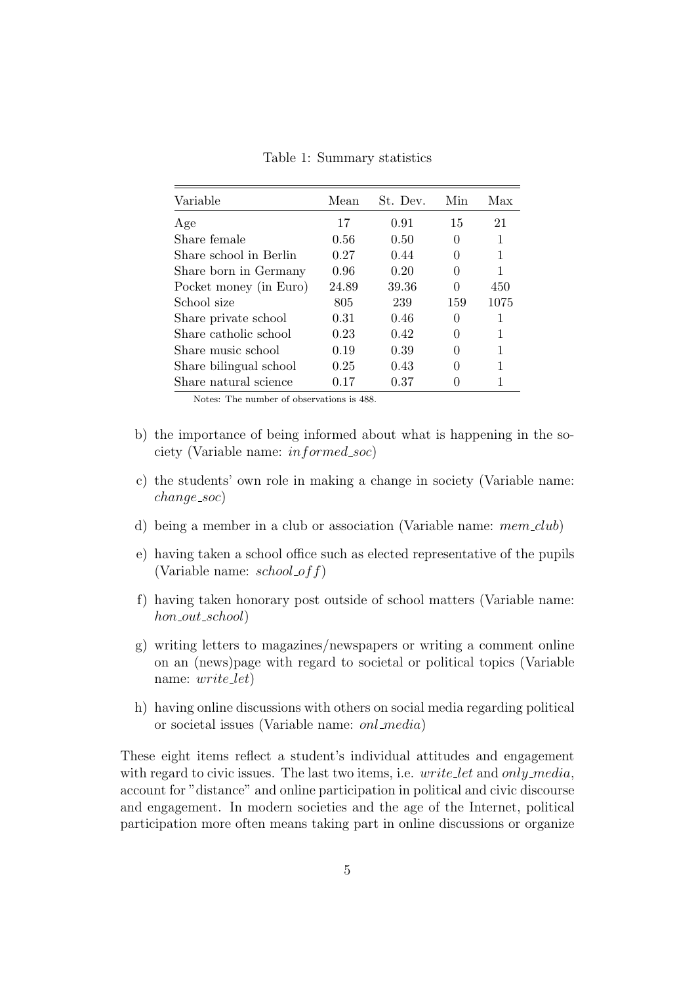<span id="page-5-0"></span>

| Variable               | Mean  | St. Dev. | Min      | Max  |
|------------------------|-------|----------|----------|------|
| Age                    | 17    | 0.91     | 15       | 21   |
| Share female           | 0.56  | 0.50     | 0        | 1    |
| Share school in Berlin | 0.27  | 0.44     | 0        | 1    |
| Share born in Germany  | 0.96  | 0.20     | 0        | 1    |
| Pocket money (in Euro) | 24.89 | 39.36    | 0        | 450  |
| School size            | 805   | 239      | 159      | 1075 |
| Share private school   | 0.31  | 0.46     | 0        | 1    |
| Share catholic school  | 0.23  | 0.42     | $\Omega$ | 1    |
| Share music school     | 0.19  | 0.39     | $\Omega$ | 1    |
| Share bilingual school | 0.25  | 0.43     | 0        | 1    |
| Share natural science  | 0.17  | 0.37     |          | 1    |

Table 1: Summary statistics

Notes: The number of observations is 488.

- b) the importance of being informed about what is happening in the society (Variable name: *informed\_soc*)
- c) the students' own role in making a change in society (Variable name: change\_soc)
- d) being a member in a club or association (Variable name:  $mem\_club$ )
- e) having taken a school office such as elected representative of the pupils (Variable name:  $\mathit{school\_off}$ )
- f) having taken honorary post outside of school matters (Variable name:  $hon\_out\_school)$
- g) writing letters to magazines/newspapers or writing a comment online on an (news)page with regard to societal or political topics (Variable name: *write\_let*)
- h) having online discussions with others on social media regarding political or societal issues (Variable name: onl media)

These eight items reflect a student's individual attitudes and engagement with regard to civic issues. The last two items, i.e. write let and only media, account for "distance" and online participation in political and civic discourse and engagement. In modern societies and the age of the Internet, political participation more often means taking part in online discussions or organize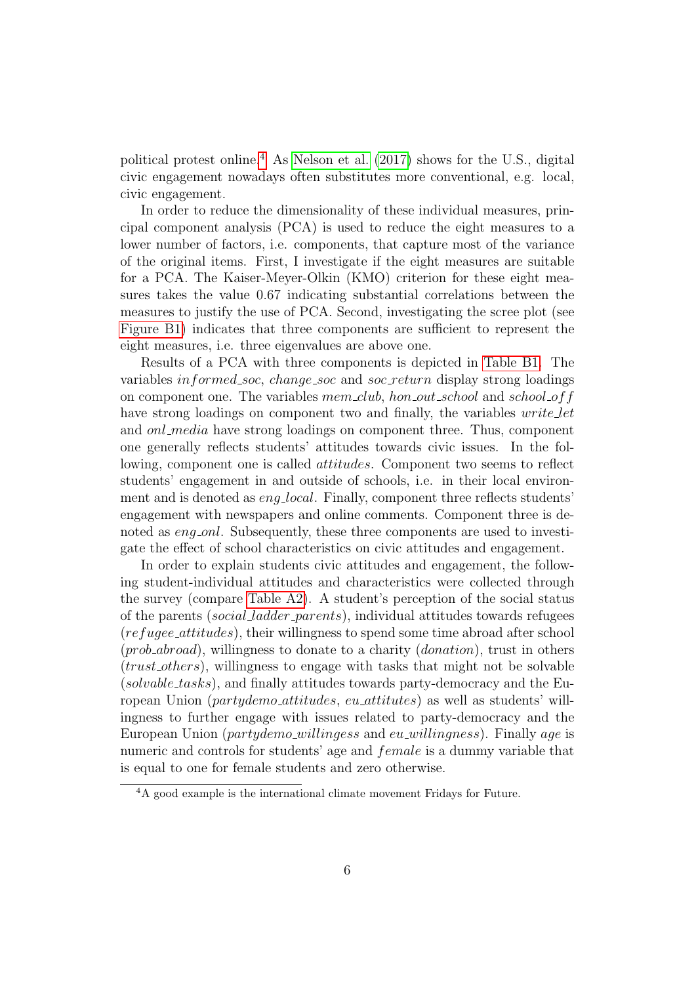political protest online.[4](#page-6-0) As [Nelson et al.](#page-17-9) [\(2017\)](#page-17-9) shows for the U.S., digital civic engagement nowadays often substitutes more conventional, e.g. local, civic engagement.

In order to reduce the dimensionality of these individual measures, principal component analysis (PCA) is used to reduce the eight measures to a lower number of factors, i.e. components, that capture most of the variance of the original items. First, I investigate if the eight measures are suitable for a PCA. The Kaiser-Meyer-Olkin (KMO) criterion for these eight measures takes the value 0.67 indicating substantial correlations between the measures to justify the use of PCA. Second, investigating the scree plot (see [Figure B1\)](#page-21-0) indicates that three components are sufficient to represent the eight measures, i.e. three eigenvalues are above one.

Results of a PCA with three components is depicted in [Table B1.](#page-21-1) The variables *informed\_soc*, *change\_soc* and *soc\_return* display strong loadings on component one. The variables mem\_club, hon\_out\_school and school of f have strong loadings on component two and finally, the variables *write let* and *onl\_media* have strong loadings on component three. Thus, component one generally reflects students' attitudes towards civic issues. In the following, component one is called *attitudes*. Component two seems to reflect students' engagement in and outside of schools, i.e. in their local environment and is denoted as *eng<sub>-local*. Finally, component three reflects students'</sub> engagement with newspapers and online comments. Component three is denoted as *eng\_onl*. Subsequently, these three components are used to investigate the effect of school characteristics on civic attitudes and engagement.

In order to explain students civic attitudes and engagement, the following student-individual attitudes and characteristics were collected through the survey (compare Table  $A2$ ). A student's perception of the social status of the parents (social ladder parents), individual attitudes towards refugees (refugee attitudes), their willingness to spend some time abroad after school  $(prob\_abroad)$ , willingness to donate to a charity  $(donation)$ , trust in others (trust others), willingness to engage with tasks that might not be solvable  $(solvable\_tasks)$ , and finally attitudes towards party-democracy and the European Union (partydemo\_attitudes, eu\_attitutes) as well as students' willingness to further engage with issues related to party-democracy and the European Union (partydemo\_willingess and eu\_willingness). Finally age is numeric and controls for students' age and *female* is a dummy variable that is equal to one for female students and zero otherwise.

<span id="page-6-0"></span><sup>&</sup>lt;sup>4</sup>A good example is the international climate movement Fridays for Future.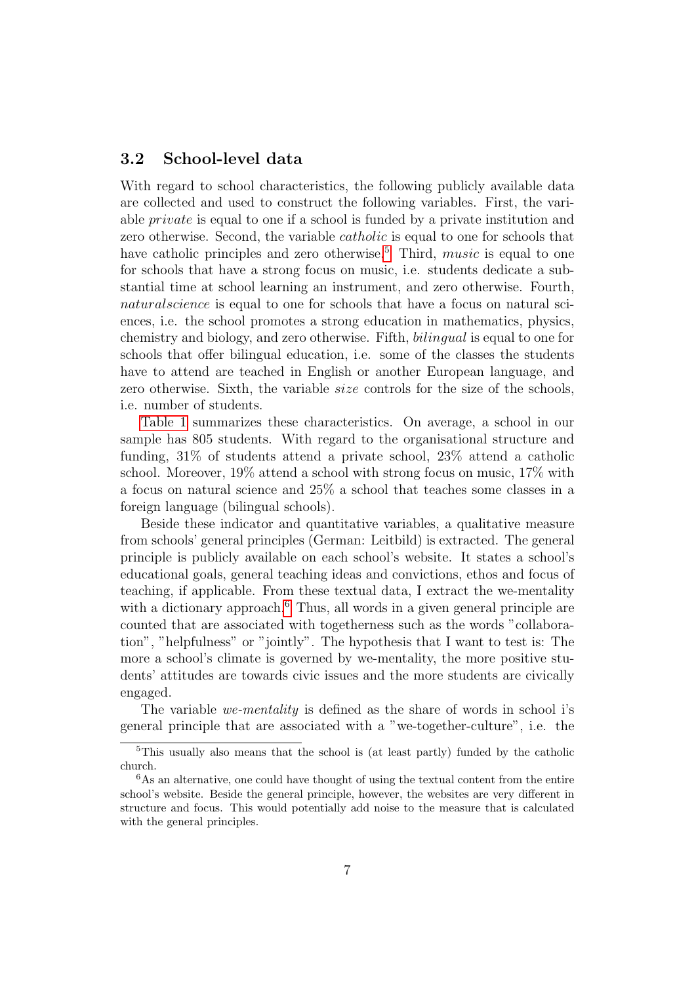#### 3.2 School-level data

With regard to school characteristics, the following publicly available data are collected and used to construct the following variables. First, the variable private is equal to one if a school is funded by a private institution and zero otherwise. Second, the variable catholic is equal to one for schools that have catholic principles and zero otherwise.<sup>[5](#page-7-0)</sup> Third, *music* is equal to one for schools that have a strong focus on music, i.e. students dedicate a substantial time at school learning an instrument, and zero otherwise. Fourth, naturalscience is equal to one for schools that have a focus on natural sciences, i.e. the school promotes a strong education in mathematics, physics, chemistry and biology, and zero otherwise. Fifth, bilingual is equal to one for schools that offer bilingual education, i.e. some of the classes the students have to attend are teached in English or another European language, and zero otherwise. Sixth, the variable *size* controls for the size of the schools, i.e. number of students.

[Table 1](#page-5-0) summarizes these characteristics. On average, a school in our sample has 805 students. With regard to the organisational structure and funding, 31% of students attend a private school, 23% attend a catholic school. Moreover, 19% attend a school with strong focus on music, 17% with a focus on natural science and 25% a school that teaches some classes in a foreign language (bilingual schools).

Beside these indicator and quantitative variables, a qualitative measure from schools' general principles (German: Leitbild) is extracted. The general principle is publicly available on each school's website. It states a school's educational goals, general teaching ideas and convictions, ethos and focus of teaching, if applicable. From these textual data, I extract the we-mentality with a dictionary approach.<sup>[6](#page-7-1)</sup> Thus, all words in a given general principle are counted that are associated with togetherness such as the words "collaboration", "helpfulness" or "jointly". The hypothesis that I want to test is: The more a school's climate is governed by we-mentality, the more positive students' attitudes are towards civic issues and the more students are civically engaged.

The variable we-mentality is defined as the share of words in school i's general principle that are associated with a "we-together-culture", i.e. the

<span id="page-7-0"></span><sup>5</sup>This usually also means that the school is (at least partly) funded by the catholic church.

<span id="page-7-1"></span> $6$ As an alternative, one could have thought of using the textual content from the entire school's website. Beside the general principle, however, the websites are very different in structure and focus. This would potentially add noise to the measure that is calculated with the general principles.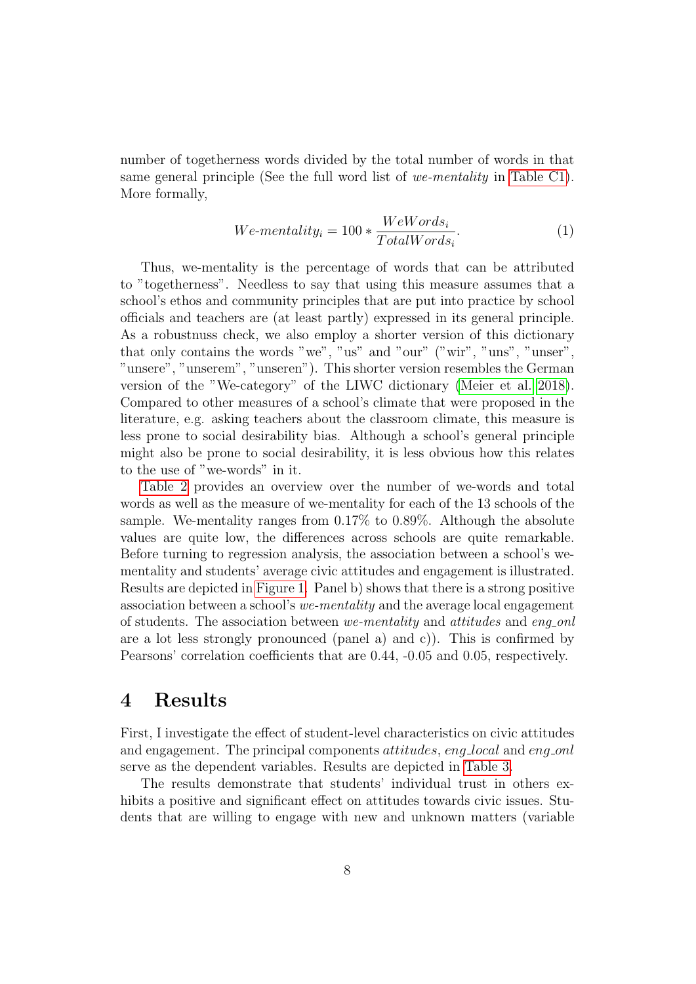number of togetherness words divided by the total number of words in that same general principle (See the full word list of we-mentality in [Table C1\)](#page-22-0). More formally,

$$
We -mentality_i = 100 * \frac{WeWords_i}{TotalWords_i}.
$$
\n<sup>(1)</sup>

Thus, we-mentality is the percentage of words that can be attributed to "togetherness". Needless to say that using this measure assumes that a school's ethos and community principles that are put into practice by school officials and teachers are (at least partly) expressed in its general principle. As a robustnuss check, we also employ a shorter version of this dictionary that only contains the words "we", "us" and "our" ("wir", "uns", "unser", "unsere", "unserem", "unseren"). This shorter version resembles the German version of the "We-category" of the LIWC dictionary [\(Meier et al. 2018\)](#page-17-10). Compared to other measures of a school's climate that were proposed in the literature, e.g. asking teachers about the classroom climate, this measure is less prone to social desirability bias. Although a school's general principle might also be prone to social desirability, it is less obvious how this relates to the use of "we-words" in it.

[Table 2](#page-9-0) provides an overview over the number of we-words and total words as well as the measure of we-mentality for each of the 13 schools of the sample. We-mentality ranges from 0.17% to 0.89%. Although the absolute values are quite low, the differences across schools are quite remarkable. Before turning to regression analysis, the association between a school's wementality and students' average civic attitudes and engagement is illustrated. Results are depicted in [Figure 1.](#page-9-1) Panel b) shows that there is a strong positive association between a school's we-mentality and the average local engagement of students. The association between we-mentality and attitudes and eng-onl are a lot less strongly pronounced (panel a) and c). This is confirmed by Pearsons' correlation coefficients that are 0.44, -0.05 and 0.05, respectively.

### 4 Results

First, I investigate the effect of student-level characteristics on civic attitudes and engagement. The principal components *attitudes*, eng<sub>-local</sub> and eng-onl serve as the dependent variables. Results are depicted in [Table 3.](#page-11-0)

The results demonstrate that students' individual trust in others exhibits a positive and significant effect on attitudes towards civic issues. Students that are willing to engage with new and unknown matters (variable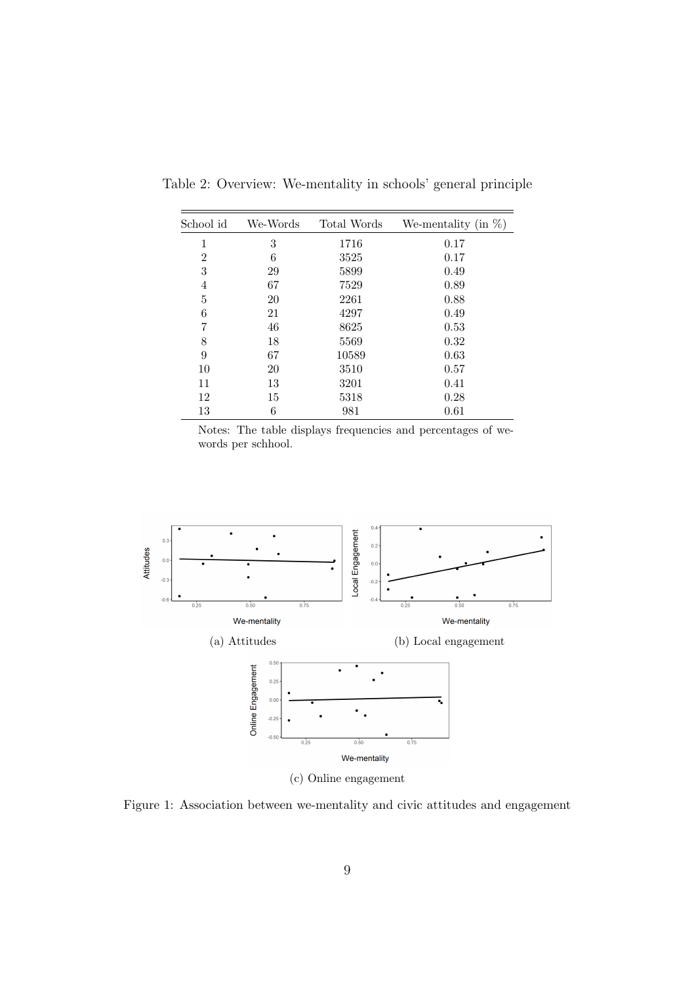| School id      | We-Words | Total Words | We-mentality (in $\%$ ) |
|----------------|----------|-------------|-------------------------|
| 1              | 3        | 1716        | 0.17                    |
| $\overline{2}$ | 6        | 3525        | 0.17                    |
| 3              | 29       | 5899        | 0.49                    |
| 4              | 67       | 7529        | 0.89                    |
| 5              | 20       | 2261        | 0.88                    |
| 6              | 21       | 4297        | 0.49                    |
| 7              | 46       | 8625        | 0.53                    |
| 8              | 18       | 5569        | 0.32                    |
| 9              | 67       | 10589       | 0.63                    |
| 10             | 20       | 3510        | 0.57                    |
| 11             | 13       | 3201        | 0.41                    |
| 12             | 15       | 5318        | 0.28                    |
| 13             | 6        | 981         | 0.61                    |

<span id="page-9-0"></span>Table 2: Overview: We-mentality in schools' general principle

Notes: The table displays frequencies and percentages of wewords per schhool.

<span id="page-9-1"></span>

(c) Online engagement

Figure 1: Association between we-mentality and civic attitudes and engagement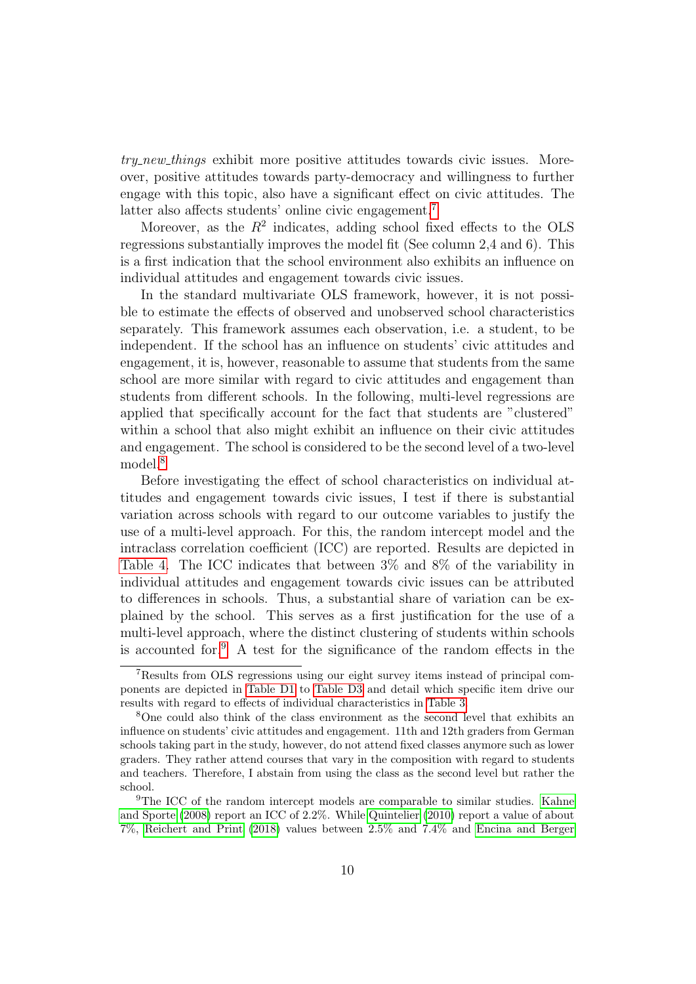try new things exhibit more positive attitudes towards civic issues. Moreover, positive attitudes towards party-democracy and willingness to further engage with this topic, also have a significant effect on civic attitudes. The latter also affects students' online civic engagement.<sup>[7](#page-10-0)</sup>

Moreover, as the  $R^2$  indicates, adding school fixed effects to the OLS regressions substantially improves the model fit (See column 2,4 and 6). This is a first indication that the school environment also exhibits an influence on individual attitudes and engagement towards civic issues.

In the standard multivariate OLS framework, however, it is not possible to estimate the effects of observed and unobserved school characteristics separately. This framework assumes each observation, i.e. a student, to be independent. If the school has an influence on students' civic attitudes and engagement, it is, however, reasonable to assume that students from the same school are more similar with regard to civic attitudes and engagement than students from different schools. In the following, multi-level regressions are applied that specifically account for the fact that students are "clustered" within a school that also might exhibit an influence on their civic attitudes and engagement. The school is considered to be the second level of a two-level model.[8](#page-10-1)

Before investigating the effect of school characteristics on individual attitudes and engagement towards civic issues, I test if there is substantial variation across schools with regard to our outcome variables to justify the use of a multi-level approach. For this, the random intercept model and the intraclass correlation coefficient (ICC) are reported. Results are depicted in [Table 4.](#page-12-0) The ICC indicates that between 3% and 8% of the variability in individual attitudes and engagement towards civic issues can be attributed to differences in schools. Thus, a substantial share of variation can be explained by the school. This serves as a first justification for the use of a multi-level approach, where the distinct clustering of students within schools is accounted for.[9](#page-10-2) A test for the significance of the random effects in the

<span id="page-10-0"></span><sup>7</sup>Results from OLS regressions using our eight survey items instead of principal components are depicted in [Table D1](#page-23-0) to [Table D3](#page-25-0) and detail which specific item drive our results with regard to effects of individual characteristics in [Table 3.](#page-11-0)

<span id="page-10-1"></span><sup>8</sup>One could also think of the class environment as the second level that exhibits an influence on students' civic attitudes and engagement. 11th and 12th graders from German schools taking part in the study, however, do not attend fixed classes anymore such as lower graders. They rather attend courses that vary in the composition with regard to students and teachers. Therefore, I abstain from using the class as the second level but rather the school.

<span id="page-10-2"></span><sup>9</sup>The ICC of the random intercept models are comparable to similar studies. [Kahne](#page-17-8) [and Sporte](#page-17-8) [\(2008\)](#page-17-8) report an ICC of 2.2%. While [Quintelier](#page-18-3) [\(2010\)](#page-18-3) report a value of about 7%, [Reichert and Print](#page-18-4) [\(2018\)](#page-18-4) values between 2.5% and 7.4% and [Encina and Berger](#page-16-5)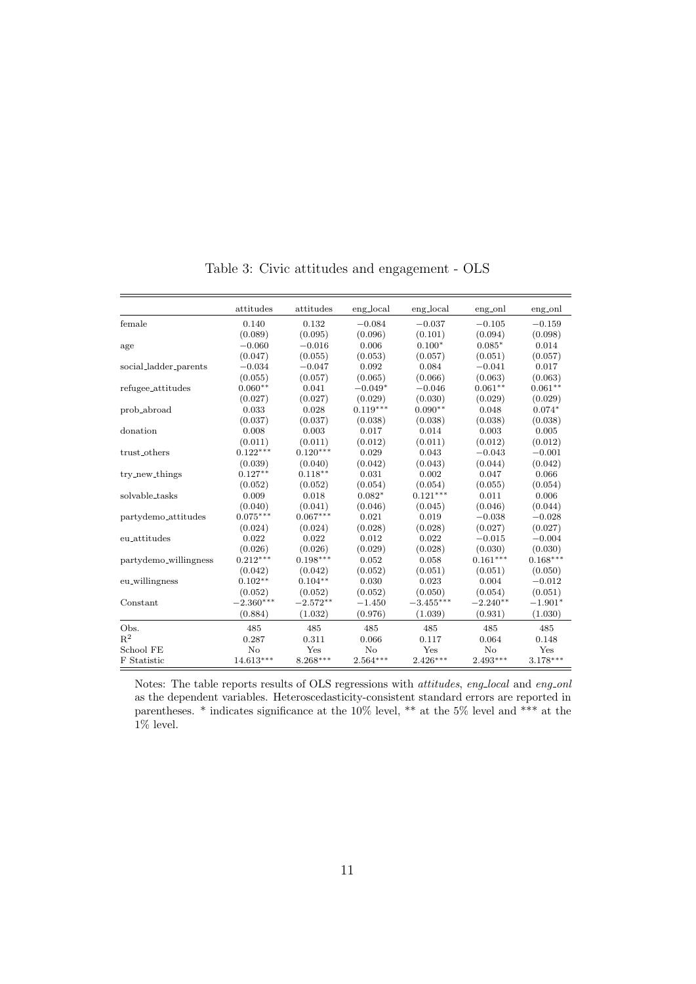<span id="page-11-0"></span>

|                       | attitudes   | attitudes  | eng_local  | eng_local   | eng_onl    | eng_onl    |
|-----------------------|-------------|------------|------------|-------------|------------|------------|
| female                | 0.140       | 0.132      | $-0.084$   | $-0.037$    | $-0.105$   | $-0.159$   |
|                       | (0.089)     | (0.095)    | (0.096)    | (0.101)     | (0.094)    | (0.098)    |
| age                   | $-0.060$    | $-0.016$   | 0.006      | $0.100*$    | $0.085*$   | 0.014      |
|                       | (0.047)     | (0.055)    | (0.053)    | (0.057)     | (0.051)    | (0.057)    |
| social_ladder_parents | $-0.034$    | $-0.047$   | 0.092      | 0.084       | $-0.041$   | 0.017      |
|                       | (0.055)     | (0.057)    | (0.065)    | (0.066)     | (0.063)    | (0.063)    |
| refugee_attitudes     | $0.060**$   | 0.041      | $-0.049*$  | $-0.046$    | $0.061**$  | $0.061**$  |
|                       | (0.027)     | (0.027)    | (0.029)    | (0.030)     | (0.029)    | (0.029)    |
| prob_abroad           | 0.033       | 0.028      | $0.119***$ | $0.090**$   | 0.048      | $0.074*$   |
|                       | (0.037)     | (0.037)    | (0.038)    | (0.038)     | (0.038)    | (0.038)    |
| donation              | 0.008       | 0.003      | 0.017      | 0.014       | 0.003      | 0.005      |
|                       | (0.011)     | (0.011)    | (0.012)    | (0.011)     | (0.012)    | (0.012)    |
| trust_others          | $0.122***$  | $0.120***$ | 0.029      | 0.043       | $-0.043$   | $-0.001$   |
|                       | (0.039)     | (0.040)    | (0.042)    | (0.043)     | (0.044)    | (0.042)    |
| try_new_things        | $0.127**$   | $0.118**$  | 0.031      | 0.002       | 0.047      | 0.066      |
|                       | (0.052)     | (0.052)    | (0.054)    | (0.054)     | (0.055)    | (0.054)    |
| solvable_tasks        | 0.009       | 0.018      | $0.082*$   | $0.121***$  | 0.011      | 0.006      |
|                       | (0.040)     | (0.041)    | (0.046)    | (0.045)     | (0.046)    | (0.044)    |
| partydemo_attitudes   | $0.075***$  | $0.067***$ | 0.021      | 0.019       | $-0.038$   | $-0.028$   |
|                       | (0.024)     | (0.024)    | (0.028)    | (0.028)     | (0.027)    | (0.027)    |
| eu_attitudes          | 0.022       | 0.022      | 0.012      | 0.022       | $-0.015$   | $-0.004$   |
|                       | (0.026)     | (0.026)    | (0.029)    | (0.028)     | (0.030)    | (0.030)    |
| partydemo_willingness | $0.212***$  | $0.198***$ | 0.052      | 0.058       | $0.161***$ | $0.168***$ |
|                       | (0.042)     | (0.042)    | (0.052)    | (0.051)     | (0.051)    | (0.050)    |
| eu_willingness        | $0.102**$   | $0.104**$  | 0.030      | 0.023       | 0.004      | $-0.012$   |
|                       | (0.052)     | (0.052)    | (0.052)    | (0.050)     | (0.054)    | (0.051)    |
| Constant              | $-2.360***$ | $-2.572**$ | $-1.450$   | $-3.455***$ | $-2.240**$ | $-1.901*$  |
|                       | (0.884)     | (1.032)    | (0.976)    | (1.039)     | (0.931)    | (1.030)    |
| Obs.                  | 485         | 485        | 485        | 485         | 485        | 485        |
| $R^2$                 | 0.287       | 0.311      | 0.066      | 0.117       | 0.064      | 0.148      |
| School FE             | No          | Yes        | No         | Yes         | No         | Yes        |
| F Statistic           | $14.613***$ | $8.268***$ | $2.564***$ | $2.426***$  | $2.493***$ | $3.178***$ |
|                       |             |            |            |             |            |            |

Table 3: Civic attitudes and engagement - OLS

Notes: The table reports results of OLS regressions with *attitudes, eng<sub>-local</sub>* and *eng-onl* as the dependent variables. Heteroscedasticity-consistent standard errors are reported in parentheses. \* indicates significance at the 10% level, \*\* at the 5% level and \*\*\* at the  $1\%$  level.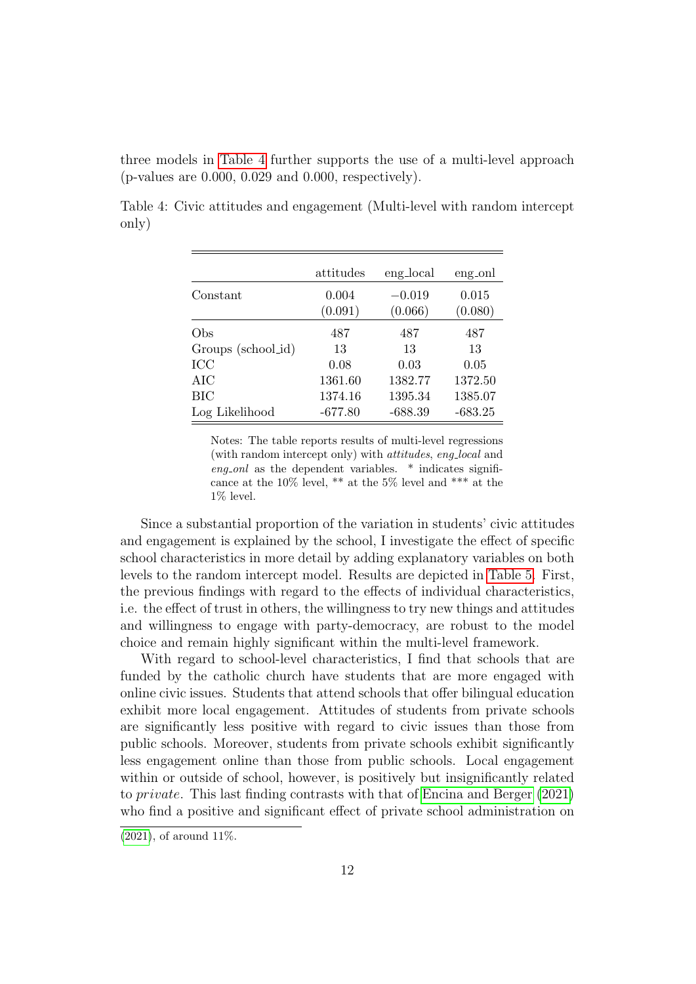three models in [Table 4](#page-12-0) further supports the use of a multi-level approach (p-values are 0.000, 0.029 and 0.000, respectively).

<span id="page-12-0"></span>Table 4: Civic attitudes and engagement (Multi-level with random intercept only)

|                    | attitudes | eng_local | eng <sub>on</sub> |
|--------------------|-----------|-----------|-------------------|
| Constant           | 0.004     | $-0.019$  | 0.015             |
|                    | (0.091)   | (0.066)   | (0.080)           |
| Obs                | 487       | 487       | 487               |
| Groups (school_id) | 13        | 13        | 13                |
| <b>ICC</b>         | 0.08      | 0.03      | 0.05              |
| AIC                | 1361.60   | 1382.77   | 1372.50           |
| BIC                | 1374.16   | 1395.34   | 1385.07           |
| Log Likelihood     | $-677.80$ | $-688.39$ | $-683.25$         |

Notes: The table reports results of multi-level regressions (with random intercept only) with attitudes, eng local and eng onl as the dependent variables.  $*$  indicates significance at the 10% level, \*\* at the 5% level and \*\*\* at the 1% level.

Since a substantial proportion of the variation in students' civic attitudes and engagement is explained by the school, I investigate the effect of specific school characteristics in more detail by adding explanatory variables on both levels to the random intercept model. Results are depicted in [Table 5.](#page-13-0) First, the previous findings with regard to the effects of individual characteristics, i.e. the effect of trust in others, the willingness to try new things and attitudes and willingness to engage with party-democracy, are robust to the model choice and remain highly significant within the multi-level framework.

With regard to school-level characteristics, I find that schools that are funded by the catholic church have students that are more engaged with online civic issues. Students that attend schools that offer bilingual education exhibit more local engagement. Attitudes of students from private schools are significantly less positive with regard to civic issues than those from public schools. Moreover, students from private schools exhibit significantly less engagement online than those from public schools. Local engagement within or outside of school, however, is positively but insignificantly related to private. This last finding contrasts with that of [Encina and Berger](#page-16-5) [\(2021\)](#page-16-5) who find a positive and significant effect of private school administration on

 $(2021)$ , of around 11%.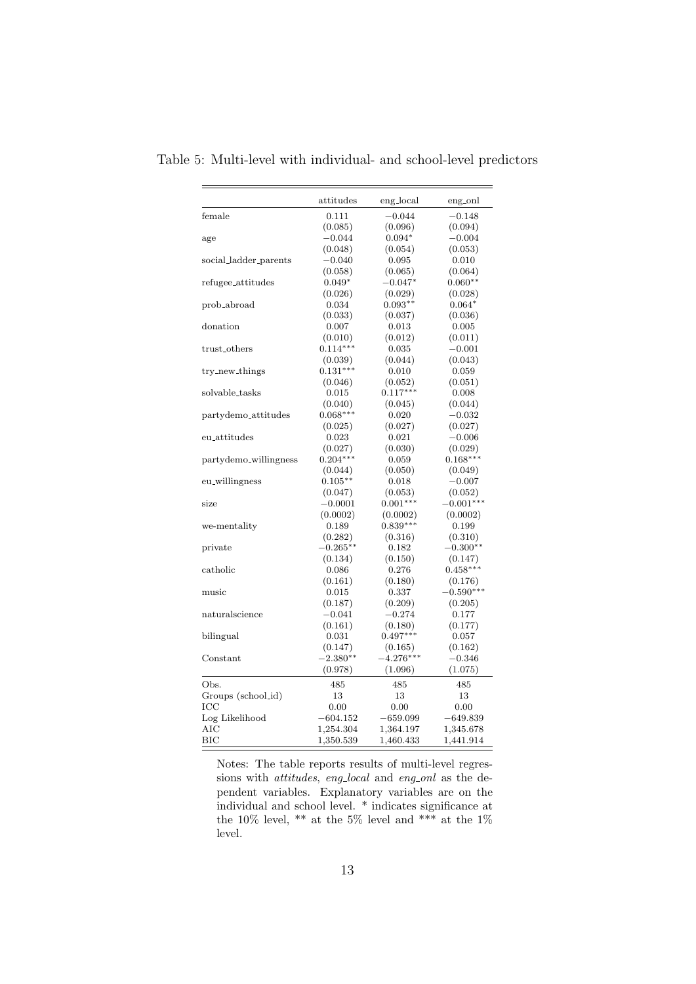|                                  | attitudes   | eng_local   | eng_onl     |
|----------------------------------|-------------|-------------|-------------|
| female                           | 0.111       | $-0.044$    | $-0.148$    |
|                                  | (0.085)     | (0.096)     | (0.094)     |
| age                              | $-0.044$    | $0.094*$    | $-0.004$    |
|                                  | (0.048)     | (0.054)     | (0.053)     |
| social_ladder_parents            | $-0.040$    | 0.095       | 0.010       |
|                                  | (0.058)     | (0.065)     | (0.064)     |
| refugee_attitudes                | $0.049*$    | $-0.047*$   | $0.060**$   |
|                                  | (0.026)     | (0.029)     | (0.028)     |
| prob_abroad                      | 0.034       | $0.093**$   | $0.064*$    |
|                                  | (0.033)     | (0.037)     | (0.036)     |
| donation                         | 0.007       | 0.013       | 0.005       |
|                                  | (0.010)     | (0.012)     | (0.011)     |
| trust_others                     | $0.114***$  | 0.035       | $-0.001$    |
|                                  | (0.039)     | (0.044)     | (0.043)     |
| try_new_things                   | $0.131***$  | 0.010       | $_{0.059}$  |
|                                  | (0.046)     | (0.052)     | (0.051)     |
| solvable_tasks                   | 0.015       | $0.117***$  | 0.008       |
|                                  | (0.040)     | (0.045)     | (0.044)     |
| partydemo <sub>-</sub> attitudes | $0.068***$  | 0.020       | $-0.032$    |
|                                  | (0.025)     | (0.027)     | (0.027)     |
| eu_attitudes                     | 0.023       | 0.021       | $-0.006$    |
|                                  | (0.027)     | (0.030)     | (0.029)     |
| partydemo_willingness            | $0.204***$  | 0.059       | $0.168***$  |
|                                  | (0.044)     | (0.050)     | (0.049)     |
| eu_willingness                   | $0.105**$   | 0.018       | $-0.007$    |
|                                  | (0.047)     | (0.053)     | (0.052)     |
| size                             | $-0.0001$   | $0.001***$  | $-0.001***$ |
|                                  | (0.0002)    | (0.0002)    | (0.0002)    |
| we-mentality                     | 0.189       | $0.839***$  | 0.199       |
|                                  | (0.282)     | (0.316)     | (0.310)     |
| private                          | $-0.265***$ | 0.182       | $-0.300**$  |
|                                  | (0.134)     | (0.150)     | (0.147)     |
| catholic                         | 0.086       | 0.276       | $0.458***$  |
|                                  | (0.161)     | (0.180)     | (0.176)     |
| music                            | 0.015       | 0.337       | $-0.590***$ |
|                                  | (0.187)     | (0.209)     | (0.205)     |
| naturalscience                   | $-0.041$    | $-0.274$    | 0.177       |
|                                  | (0.161)     | (0.180)     | (0.177)     |
| bilingual                        | 0.031       | $0.497***$  | 0.057       |
|                                  | (0.147)     | (0.165)     | (0.162)     |
| Constant                         | $-2.380**$  | $-4.276***$ | $-0.346$    |
|                                  | (0.978)     | (1.096)     | (1.075)     |
| Obs.                             | 485         | 485         | 485         |
| Groups (school_id)               | 13          | 13          | 13          |
| ICC                              | 0.00        | 0.00        | 0.00        |
| Log Likelihood                   | $-604.152$  | $-659.099$  | $-649.839$  |
| AІC                              | 1,254.304   | 1,364.197   | 1,345.678   |
| BIC                              | 1,350.539   | 1,460.433   | 1,441.914   |

<span id="page-13-0"></span>Table 5: Multi-level with individual- and school-level predictors

Notes: The table reports results of multi-level regressions with *attitudes*, eng<sub>-local</sub> and eng-onl as the dependent variables. Explanatory variables are on the individual and school level. \* indicates significance at the 10% level, \*\* at the 5% level and \*\*\* at the 1% level.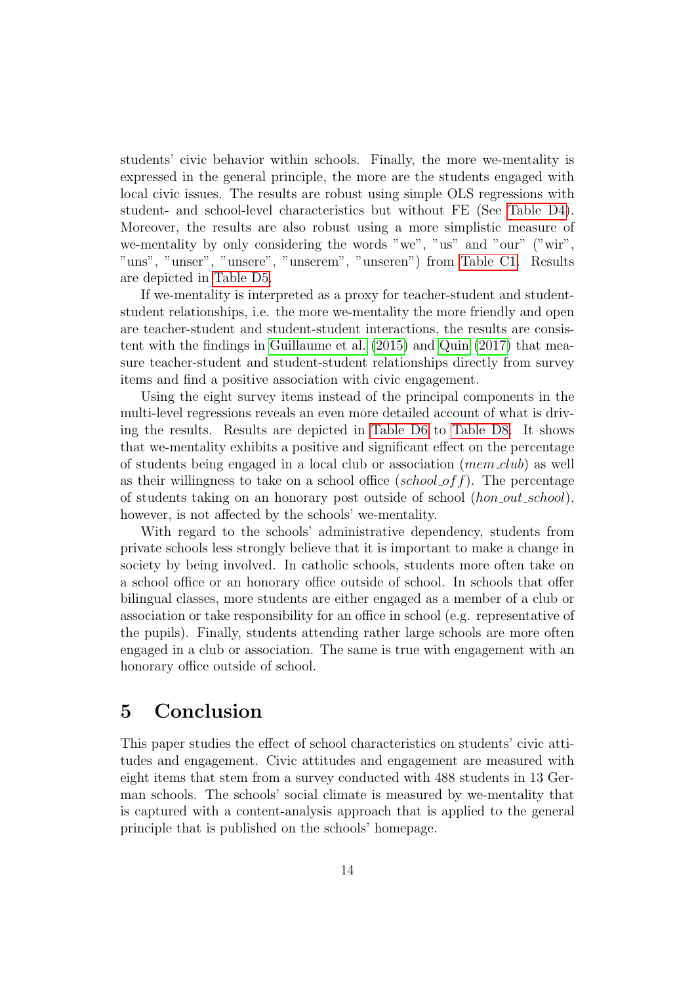students' civic behavior within schools. Finally, the more we-mentality is expressed in the general principle, the more are the students engaged with local civic issues. The results are robust using simple OLS regressions with student- and school-level characteristics but without FE (See [Table D4\)](#page-26-0). Moreover, the results are also robust using a more simplistic measure of we-mentality by only considering the words "we", "us" and "our" ("wir", "uns", "unser", "unsere", "unserem", "unseren") from [Table C1.](#page-22-0) Results are depicted in [Table D5.](#page-27-0)

If we-mentality is interpreted as a proxy for teacher-student and studentstudent relationships, i.e. the more we-mentality the more friendly and open are teacher-student and student-student interactions, the results are consistent with the findings in [Guillaume et al.](#page-16-0) [\(2015\)](#page-16-0) and [Quin](#page-18-1) [\(2017\)](#page-18-1) that measure teacher-student and student-student relationships directly from survey items and find a positive association with civic engagement.

Using the eight survey items instead of the principal components in the multi-level regressions reveals an even more detailed account of what is driving the results. Results are depicted in [Table D6](#page-28-0) to [Table D8.](#page-30-0) It shows that we-mentality exhibits a positive and significant effect on the percentage of students being engaged in a local club or association  $(mem\_club)$  as well as their willingness to take on a school office (school of f). The percentage of students taking on an honorary post outside of school (hon out school), however, is not affected by the schools' we-mentality.

With regard to the schools' administrative dependency, students from private schools less strongly believe that it is important to make a change in society by being involved. In catholic schools, students more often take on a school office or an honorary office outside of school. In schools that offer bilingual classes, more students are either engaged as a member of a club or association or take responsibility for an office in school (e.g. representative of the pupils). Finally, students attending rather large schools are more often engaged in a club or association. The same is true with engagement with an honorary office outside of school.

## 5 Conclusion

This paper studies the effect of school characteristics on students' civic attitudes and engagement. Civic attitudes and engagement are measured with eight items that stem from a survey conducted with 488 students in 13 German schools. The schools' social climate is measured by we-mentality that is captured with a content-analysis approach that is applied to the general principle that is published on the schools' homepage.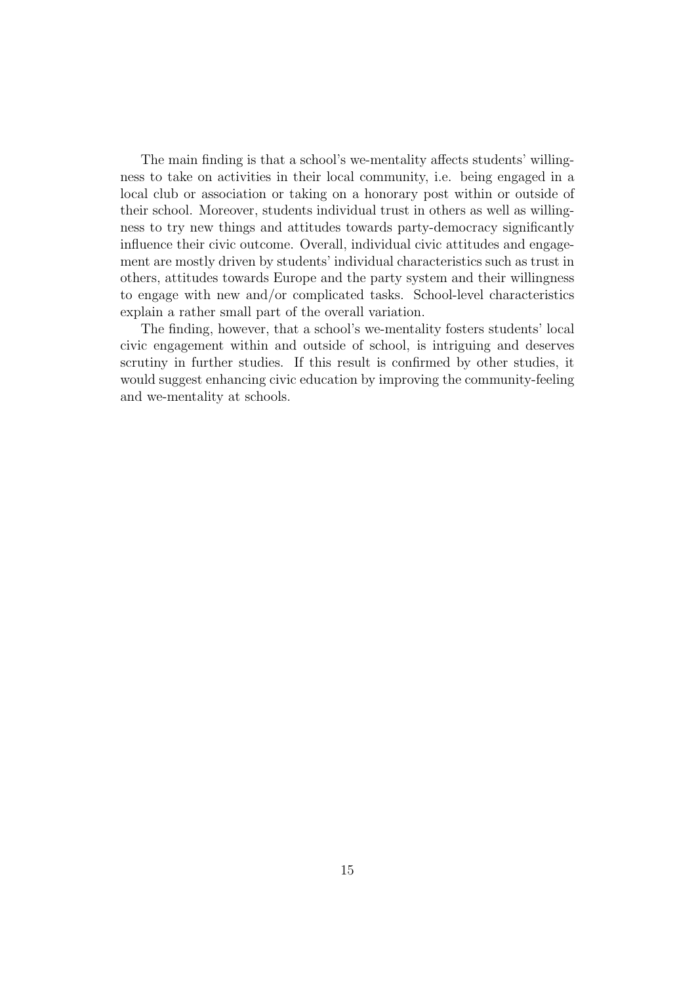The main finding is that a school's we-mentality affects students' willingness to take on activities in their local community, i.e. being engaged in a local club or association or taking on a honorary post within or outside of their school. Moreover, students individual trust in others as well as willingness to try new things and attitudes towards party-democracy significantly influence their civic outcome. Overall, individual civic attitudes and engagement are mostly driven by students' individual characteristics such as trust in others, attitudes towards Europe and the party system and their willingness to engage with new and/or complicated tasks. School-level characteristics explain a rather small part of the overall variation.

The finding, however, that a school's we-mentality fosters students' local civic engagement within and outside of school, is intriguing and deserves scrutiny in further studies. If this result is confirmed by other studies, it would suggest enhancing civic education by improving the community-feeling and we-mentality at schools.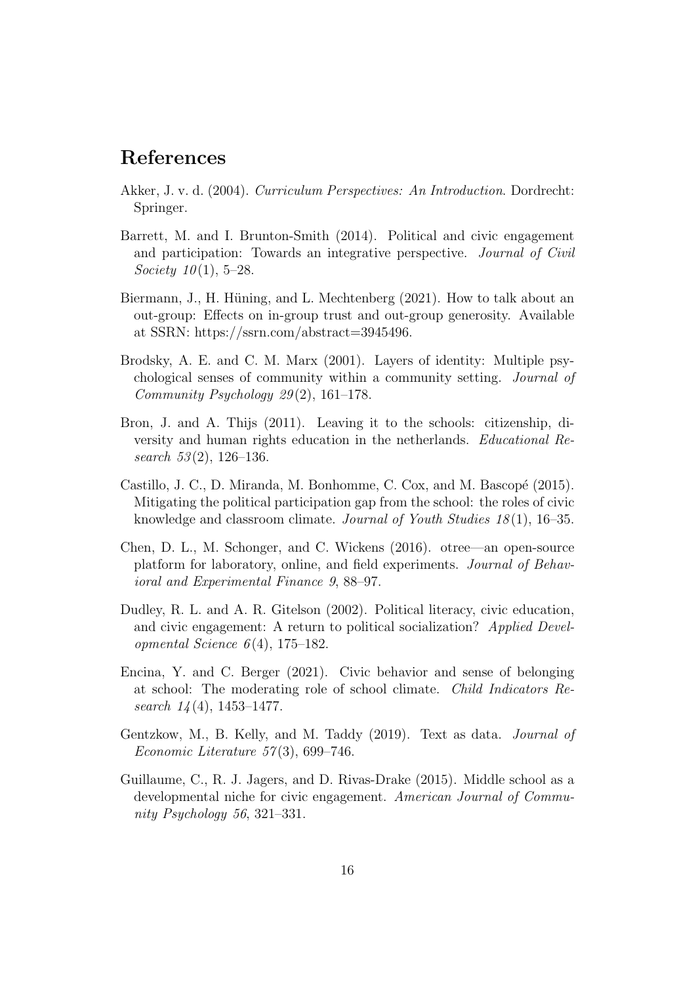## References

- <span id="page-16-6"></span>Akker, J. v. d. (2004). Curriculum Perspectives: An Introduction. Dordrecht: Springer.
- <span id="page-16-4"></span>Barrett, M. and I. Brunton-Smith (2014). Political and civic engagement and participation: Towards an integrative perspective. Journal of Civil Society  $10(1)$ , 5–28.
- <span id="page-16-9"></span>Biermann, J., H. Hüning, and L. Mechtenberg (2021). How to talk about an out-group: Effects on in-group trust and out-group generosity. Available at SSRN: https://ssrn.com/abstract=3945496.
- <span id="page-16-8"></span>Brodsky, A. E. and C. M. Marx (2001). Layers of identity: Multiple psychological senses of community within a community setting. Journal of Community Psychology  $29(2)$ , 161–178.
- <span id="page-16-7"></span>Bron, J. and A. Thijs (2011). Leaving it to the schools: citizenship, diversity and human rights education in the netherlands. Educational Research  $53(2)$ , 126-136.
- <span id="page-16-3"></span>Castillo, J. C., D. Miranda, M. Bonhomme, C. Cox, and M. Bascopé (2015). Mitigating the political participation gap from the school: the roles of civic knowledge and classroom climate. Journal of Youth Studies 18(1), 16–35.
- <span id="page-16-10"></span>Chen, D. L., M. Schonger, and C. Wickens (2016). otree—an open-source platform for laboratory, online, and field experiments. Journal of Behavioral and Experimental Finance 9, 88–97.
- <span id="page-16-1"></span>Dudley, R. L. and A. R. Gitelson (2002). Political literacy, civic education, and civic engagement: A return to political socialization? Applied Developmental Science  $6(4)$ , 175–182.
- <span id="page-16-5"></span>Encina, Y. and C. Berger (2021). Civic behavior and sense of belonging at school: The moderating role of school climate. Child Indicators Research  $14(4)$ , 1453–1477.
- <span id="page-16-2"></span>Gentzkow, M., B. Kelly, and M. Taddy (2019). Text as data. Journal of Economic Literature 57 (3), 699–746.
- <span id="page-16-0"></span>Guillaume, C., R. J. Jagers, and D. Rivas-Drake (2015). Middle school as a developmental niche for civic engagement. American Journal of Community Psychology 56, 321–331.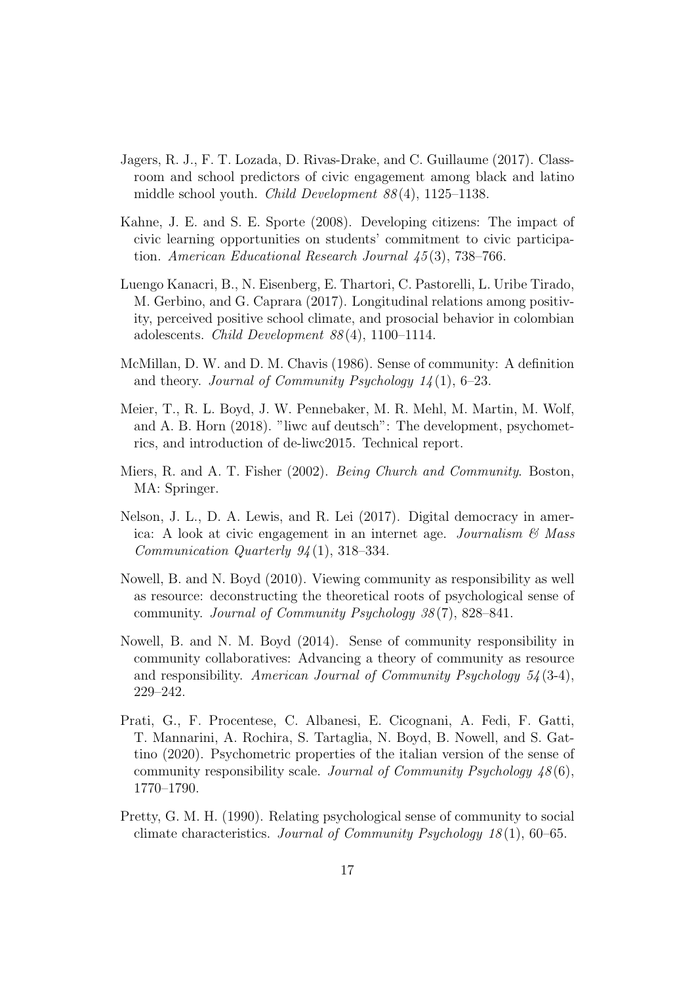- <span id="page-17-1"></span>Jagers, R. J., F. T. Lozada, D. Rivas-Drake, and C. Guillaume (2017). Classroom and school predictors of civic engagement among black and latino middle school youth. Child Development 88 (4), 1125–1138.
- <span id="page-17-8"></span>Kahne, J. E. and S. E. Sporte (2008). Developing citizens: The impact of civic learning opportunities on students' commitment to civic participation. American Educational Research Journal 45 (3), 738–766.
- <span id="page-17-0"></span>Luengo Kanacri, B., N. Eisenberg, E. Thartori, C. Pastorelli, L. Uribe Tirado, M. Gerbino, and G. Caprara (2017). Longitudinal relations among positivity, perceived positive school climate, and prosocial behavior in colombian adolescents. *Child Development*  $88(4)$ , 1100–1114.
- <span id="page-17-2"></span>McMillan, D. W. and D. M. Chavis (1986). Sense of community: A definition and theory. Journal of Community Psychology  $14(1)$ , 6–23.
- <span id="page-17-10"></span>Meier, T., R. L. Boyd, J. W. Pennebaker, M. R. Mehl, M. Martin, M. Wolf, and A. B. Horn (2018). "liwc auf deutsch": The development, psychometrics, and introduction of de-liwc2015. Technical report.
- <span id="page-17-5"></span>Miers, R. and A. T. Fisher (2002). Being Church and Community. Boston, MA: Springer.
- <span id="page-17-9"></span>Nelson, J. L., D. A. Lewis, and R. Lei (2017). Digital democracy in america: A look at civic engagement in an internet age. Journalism  $\mathcal{B}$  Mass Communication Quarterly 94 (1), 318–334.
- <span id="page-17-3"></span>Nowell, B. and N. Boyd (2010). Viewing community as responsibility as well as resource: deconstructing the theoretical roots of psychological sense of community. Journal of Community Psychology 38 (7), 828–841.
- <span id="page-17-4"></span>Nowell, B. and N. M. Boyd (2014). Sense of community responsibility in community collaboratives: Advancing a theory of community as resource and responsibility. American Journal of Community Psychology  $54(3-4)$ , 229–242.
- <span id="page-17-7"></span>Prati, G., F. Procentese, C. Albanesi, E. Cicognani, A. Fedi, F. Gatti, T. Mannarini, A. Rochira, S. Tartaglia, N. Boyd, B. Nowell, and S. Gattino (2020). Psychometric properties of the italian version of the sense of community responsibility scale. Journal of Community Psychology  $48(6)$ , 1770–1790.
- <span id="page-17-6"></span>Pretty, G. M. H. (1990). Relating psychological sense of community to social climate characteristics. Journal of Community Psychology  $18(1)$ , 60–65.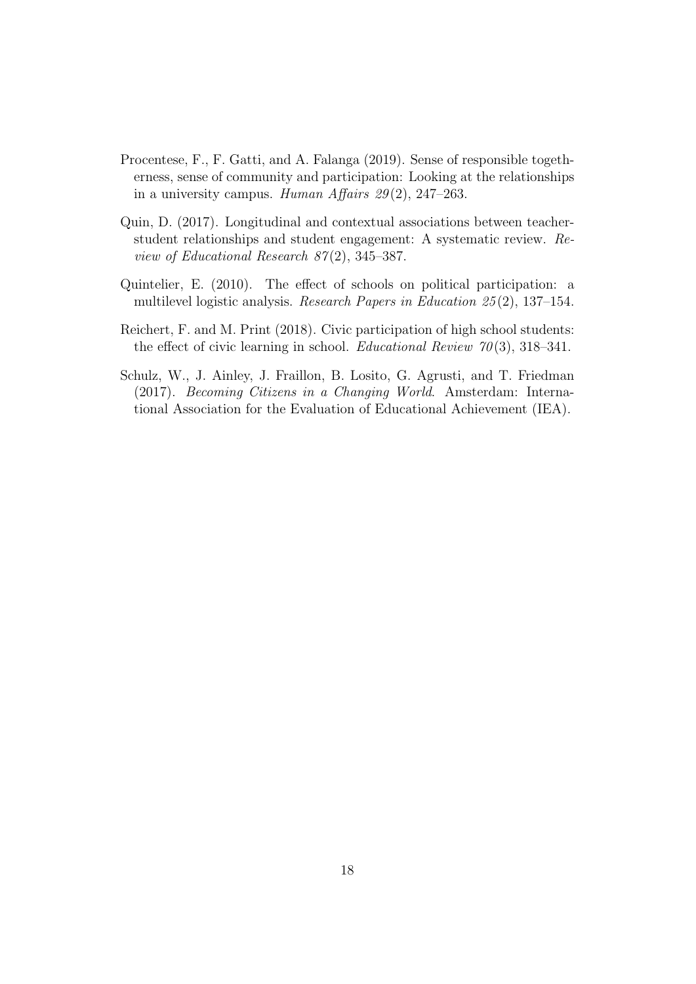- <span id="page-18-2"></span>Procentese, F., F. Gatti, and A. Falanga (2019). Sense of responsible togetherness, sense of community and participation: Looking at the relationships in a university campus. Human Affairs  $29(2)$ , 247–263.
- <span id="page-18-1"></span>Quin, D. (2017). Longitudinal and contextual associations between teacherstudent relationships and student engagement: A systematic review. Review of Educational Research  $87(2)$ , 345–387.
- <span id="page-18-3"></span>Quintelier, E. (2010). The effect of schools on political participation: a multilevel logistic analysis. Research Papers in Education 25 (2), 137–154.
- <span id="page-18-4"></span>Reichert, F. and M. Print (2018). Civic participation of high school students: the effect of civic learning in school. *Educational Review 70*(3), 318–341.
- <span id="page-18-0"></span>Schulz, W., J. Ainley, J. Fraillon, B. Losito, G. Agrusti, and T. Friedman (2017). Becoming Citizens in a Changing World. Amsterdam: International Association for the Evaluation of Educational Achievement (IEA).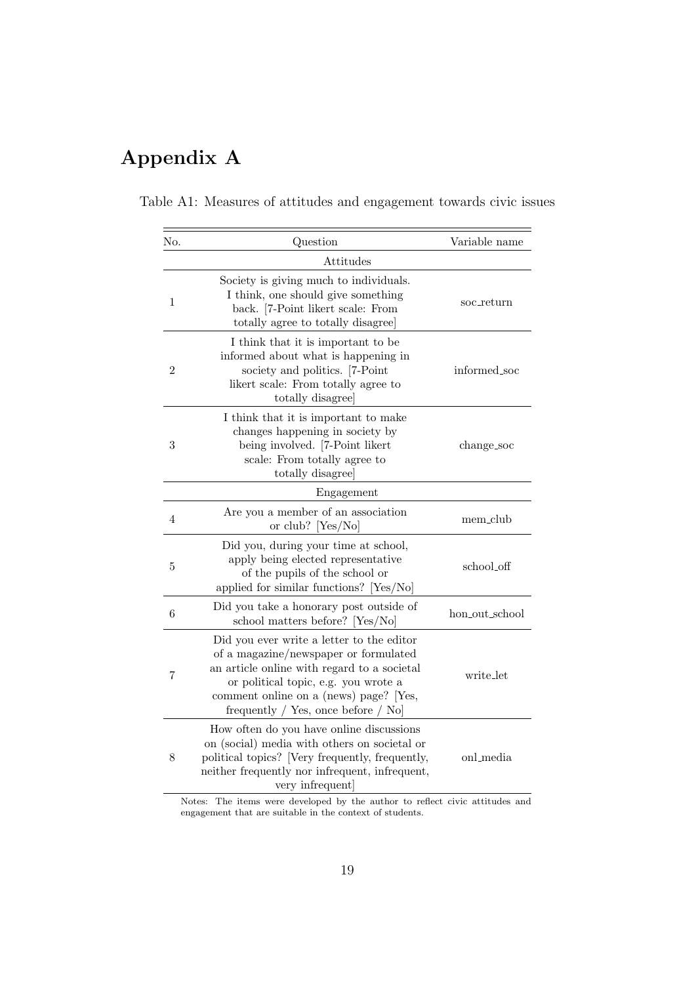## Appendix A

<span id="page-19-0"></span>Table A1: Measures of attitudes and engagement towards civic issues

| No.            | Question                                                                                                                                                                                                                                                    | Variable name  |
|----------------|-------------------------------------------------------------------------------------------------------------------------------------------------------------------------------------------------------------------------------------------------------------|----------------|
|                | Attitudes                                                                                                                                                                                                                                                   |                |
| 1              | Society is giving much to individuals.<br>I think, one should give something<br>back. [7-Point likert scale: From<br>totally agree to totally disagree                                                                                                      | soc_return     |
| $\overline{2}$ | I think that it is important to be<br>informed about what is happening in<br>society and politics. [7-Point<br>likert scale: From totally agree to<br>totally disagree                                                                                      | informed_soc   |
| 3              | I think that it is important to make<br>changes happening in society by<br>being involved. [7-Point likert<br>scale: From totally agree to<br>totally disagree                                                                                              | change_soc     |
|                | Engagement                                                                                                                                                                                                                                                  |                |
| $\overline{4}$ | Are you a member of an association<br>or club? [Yes/No]                                                                                                                                                                                                     | mem_club       |
| 5              | Did you, during your time at school,<br>apply being elected representative<br>of the pupils of the school or<br>applied for similar functions? [Yes/No]                                                                                                     | school_off     |
| 6              | Did you take a honorary post outside of<br>school matters before?<br>[Yes/No]                                                                                                                                                                               | hon_out_school |
| 7              | Did you ever write a letter to the editor<br>of a magazine/newspaper or formulated<br>an article online with regard to a societal<br>or political topic, e.g. you wrote a<br>comment online on a (news) page? [Yes,<br>frequently / Yes, once before $/$ No | write_let      |
| 8              | How often do you have online discussions<br>on (social) media with others on societal or<br>political topics? [Very frequently, frequently,<br>neither frequently nor infrequent, infrequent,<br>very infrequent                                            | onl_media      |

Notes: The items were developed by the author to reflect civic attitudes and engagement that are suitable in the context of students.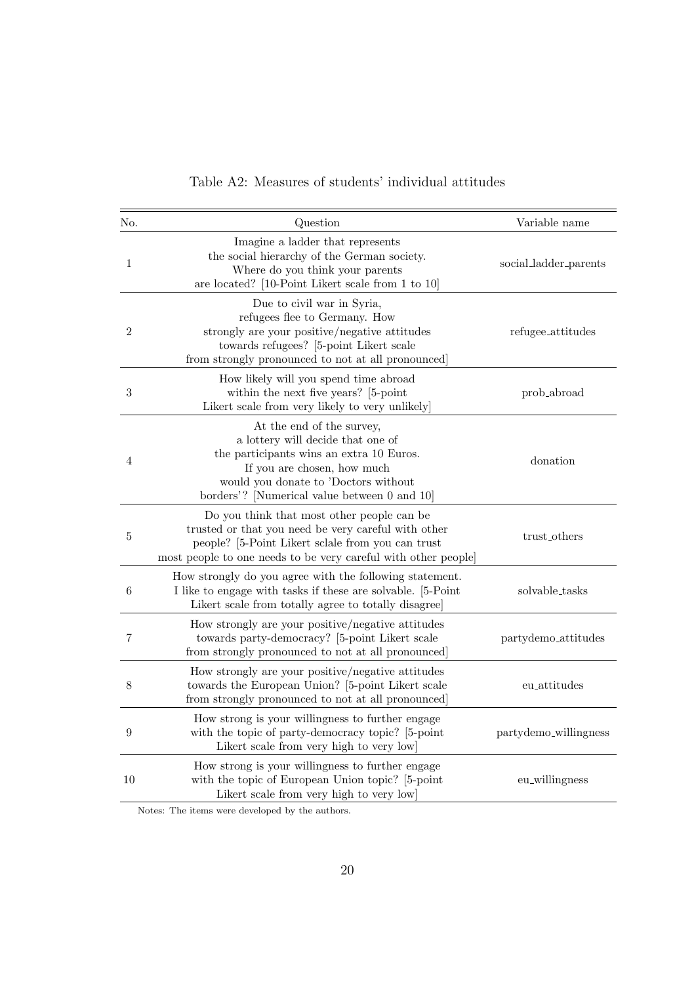<span id="page-20-0"></span>

| No.              | Question                                                                                                                                                                                                                          | Variable name                   |
|------------------|-----------------------------------------------------------------------------------------------------------------------------------------------------------------------------------------------------------------------------------|---------------------------------|
| $\mathbf{1}$     | Imagine a ladder that represents<br>the social hierarchy of the German society.<br>Where do you think your parents<br>are located? [10-Point Likert scale from 1 to 10]                                                           | social_ladder_parents           |
| $\boldsymbol{2}$ | Due to civil war in Syria,<br>refugees flee to Germany. How<br>strongly are your positive/negative attitudes<br>towards refugees? [5-point Likert scale<br>from strongly pronounced to not at all pronounced                      | refugee_attitudes               |
| $\boldsymbol{3}$ | How likely will you spend time abroad<br>within the next five years? [5-point<br>Likert scale from very likely to very unlikely                                                                                                   | prob_abroad                     |
| 4                | At the end of the survey,<br>a lottery will decide that one of<br>the participants wins an extra 10 Euros.<br>If you are chosen, how much<br>would you donate to 'Doctors without<br>borders'? [Numerical value between 0 and 10] | donation                        |
| $\overline{5}$   | Do you think that most other people can be<br>trusted or that you need be very careful with other<br>people? [5-Point Likert sclale from you can trust<br>most people to one needs to be very careful with other people           | trust_others                    |
| 6                | How strongly do you agree with the following statement.<br>I like to engage with tasks if these are solvable. [5-Point]<br>Likert scale from totally agree to totally disagree                                                    | solvable_tasks                  |
| $\!\!7$          | How strongly are your positive/negative attitudes<br>towards party-democracy? [5-point Likert scale<br>from strongly pronounced to not at all pronounced                                                                          | partydemo <sub>-attitudes</sub> |
| $8\,$            | How strongly are your positive/negative attitudes<br>towards the European Union? [5-point Likert scale<br>from strongly pronounced to not at all pronounced                                                                       | eu_attitudes                    |
| 9                | How strong is your willingness to further engage<br>with the topic of party-democracy topic? [5-point<br>Likert scale from very high to very low                                                                                  | partydemo_willingness           |
| 10               | How strong is your willingness to further engage<br>with the topic of European Union topic? [5-point<br>Likert scale from very high to very low                                                                                   | eu_willingness                  |

#### Table A2: Measures of students' individual attitudes

Notes: The items were developed by the authors.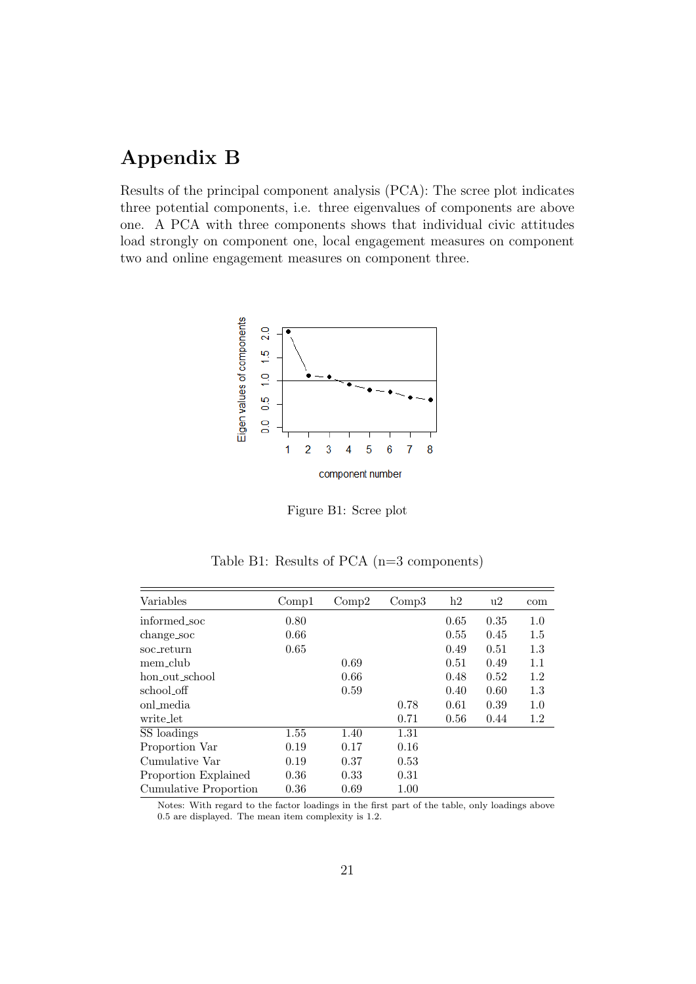## Appendix B

<span id="page-21-0"></span>Results of the principal component analysis (PCA): The scree plot indicates three potential components, i.e. three eigenvalues of components are above one. A PCA with three components shows that individual civic attitudes load strongly on component one, local engagement measures on component two and online engagement measures on component three.



Figure B1: Scree plot

Table B1: Results of PCA (n=3 components)

<span id="page-21-1"></span>

| Variables             | Comp1 | Comp2 | Comp3 | h2   | u2   | com |
|-----------------------|-------|-------|-------|------|------|-----|
| informed soc          | 0.80  |       |       | 0.65 | 0.35 | 1.0 |
| change_soc            | 0.66  |       |       | 0.55 | 0.45 | 1.5 |
| soc_return            | 0.65  |       |       | 0.49 | 0.51 | 1.3 |
| mem_club              |       | 0.69  |       | 0.51 | 0.49 | 1.1 |
| hon_out_school        |       | 0.66  |       | 0.48 | 0.52 | 1.2 |
| school_off            |       | 0.59  |       | 0.40 | 0.60 | 1.3 |
| onl_media             |       |       | 0.78  | 0.61 | 0.39 | 1.0 |
| write_let             |       |       | 0.71  | 0.56 | 0.44 | 1.2 |
| SS loadings           | 1.55  | 1.40  | 1.31  |      |      |     |
| Proportion Var        | 0.19  | 0.17  | 0.16  |      |      |     |
| Cumulative Var        | 0.19  | 0.37  | 0.53  |      |      |     |
| Proportion Explained  | 0.36  | 0.33  | 0.31  |      |      |     |
| Cumulative Proportion | 0.36  | 0.69  | 1.00  |      |      |     |

Notes: With regard to the factor loadings in the first part of the table, only loadings above 0.5 are displayed. The mean item complexity is 1.2.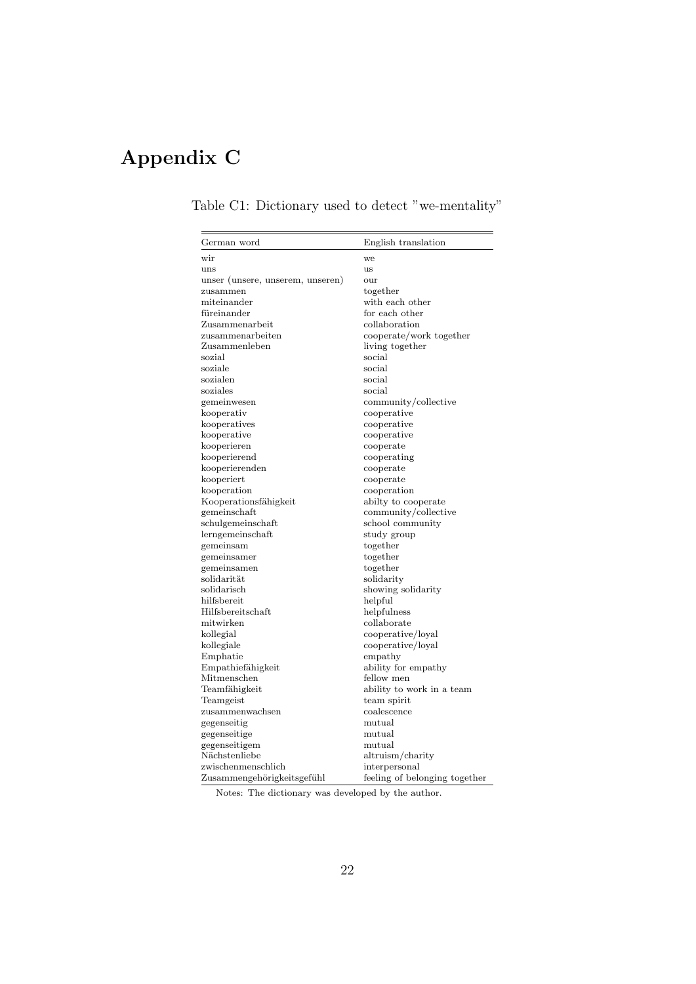# <span id="page-22-0"></span>Appendix C

| German word                      | English translation                            |
|----------------------------------|------------------------------------------------|
| wir                              | we                                             |
| uns                              | <b>us</b>                                      |
| unser (unsere, unserem, unseren) | our                                            |
| zusammen                         | together                                       |
| miteinander                      | with each other                                |
| füreinander                      | for each other                                 |
| Zusammenarbeit                   | collaboration                                  |
| zusammenarbeiten                 | cooperate/work together                        |
| Zusammenleben                    | living together                                |
| sozial                           | social                                         |
| soziale                          | social                                         |
| sozialen                         | social                                         |
| soziales                         | social                                         |
| gemeinwesen                      | community/collective                           |
| kooperativ                       | cooperative                                    |
| kooperatives                     | cooperative                                    |
| kooperative                      | cooperative                                    |
| kooperieren                      | cooperate                                      |
| kooperierend                     | cooperating                                    |
| kooperierenden                   | cooperate                                      |
| kooperiert                       | cooperate                                      |
| kooperation                      | cooperation                                    |
| Kooperationsfähigkeit            | abilty to cooperate                            |
| gemeinschaft                     | community/collective                           |
| schulgemeinschaft                | school community                               |
| lerngemeinschaft                 | study group                                    |
| gemeinsam                        | together                                       |
| gemeinsamer                      | together                                       |
| gemeinsamen                      | together                                       |
| $\rm solidarität$                | solidarity                                     |
| solidarisch                      | showing solidarity                             |
| hilfsbereit                      | helpful                                        |
| Hilfsbereitschaft                | helpfulness                                    |
| mitwirken                        | collaborate                                    |
| kollegial                        | cooperative/loyal                              |
| kollegiale                       | cooperative/loyal                              |
| Emphatie                         | empathy                                        |
| Empathiefähigkeit                | ability for empathy                            |
| Mitmenschen                      | fellow men                                     |
| Teamfähigkeit                    | ability to work in a team                      |
| Teamgeist                        | team spirit                                    |
| zusammenwachsen                  | coalescence                                    |
| gegenseitig                      | mutual                                         |
| gegenseitige                     | mutual                                         |
| gegenseitigem                    | mutual                                         |
| Nächstenliebe                    | altruism/charity                               |
| zwischenmenschlich               |                                                |
| Zusammengehörigkeitsgefühl       | interpersonal<br>feeling of belonging together |
|                                  |                                                |

Table C1: Dictionary used to detect "we-mentality"

 $=$ 

Notes: The dictionary was developed by the author.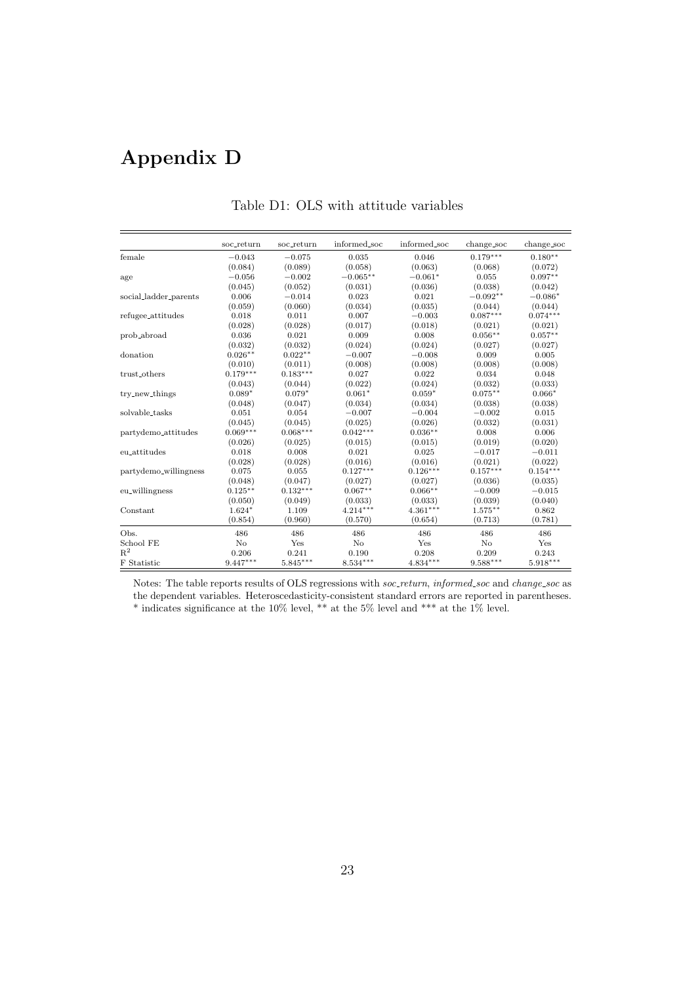## <span id="page-23-0"></span>Appendix D

|                                  | soc_return | soc_return | informed_soc | informed_soc | change_soc | change_soc |
|----------------------------------|------------|------------|--------------|--------------|------------|------------|
| female                           | $-0.043$   | $-0.075$   | 0.035        | 0.046        | $0.179***$ | $0.180**$  |
|                                  | (0.084)    | (0.089)    | (0.058)      | (0.063)      | (0.068)    | (0.072)    |
| age                              | $-0.056$   | $-0.002$   | $-0.065**$   | $-0.061*$    | 0.055      | $0.097**$  |
|                                  | (0.045)    | (0.052)    | (0.031)      | (0.036)      | (0.038)    | (0.042)    |
| social_ladder_parents            | 0.006      | $-0.014$   | 0.023        | 0.021        | $-0.092**$ | $-0.086*$  |
|                                  | (0.059)    | (0.060)    | (0.034)      | (0.035)      | (0.044)    | (0.044)    |
| refugee_attitudes                | 0.018      | 0.011      | 0.007        | $-0.003$     | $0.087***$ | $0.074***$ |
|                                  | (0.028)    | (0.028)    | (0.017)      | (0.018)      | (0.021)    | (0.021)    |
| prob_abroad                      | 0.036      | 0.021      | 0.009        | 0.008        | $0.056**$  | $0.057**$  |
|                                  | (0.032)    | (0.032)    | (0.024)      | (0.024)      | (0.027)    | (0.027)    |
| donation                         | $0.026**$  | $0.022**$  | $-0.007$     | $-0.008$     | 0.009      | 0.005      |
|                                  | (0.010)    | (0.011)    | (0.008)      | (0.008)      | (0.008)    | (0.008)    |
| trust_others                     | $0.179***$ | $0.183***$ | 0.027        | 0.022        | 0.034      | 0.048      |
|                                  | (0.043)    | (0.044)    | (0.022)      | (0.024)      | (0.032)    | (0.033)    |
| try_new_things                   | $0.089*$   | $0.079*$   | $0.061*$     | $0.059*$     | $0.075***$ | $0.066*$   |
|                                  | (0.048)    | (0.047)    | (0.034)      | (0.034)      | (0.038)    | (0.038)    |
| solvable_tasks                   | 0.051      | 0.054      | $-0.007$     | $-0.004$     | $-0.002$   | 0.015      |
|                                  | (0.045)    | (0.045)    | (0.025)      | (0.026)      | (0.032)    | (0.031)    |
| partydemo <sub>-</sub> attitudes | $0.069***$ | $0.068***$ | $0.042***$   | $0.036**$    | 0.008      | 0.006      |
|                                  | (0.026)    | (0.025)    | (0.015)      | (0.015)      | (0.019)    | (0.020)    |
| eu_attitudes                     | 0.018      | 0.008      | 0.021        | 0.025        | $-0.017$   | $-0.011$   |
|                                  | (0.028)    | (0.028)    | (0.016)      | (0.016)      | (0.021)    | (0.022)    |
| partydemo_willingness            | 0.075      | 0.055      | $0.127***$   | $0.126***$   | $0.157***$ | $0.154***$ |
|                                  | (0.048)    | (0.047)    | (0.027)      | (0.027)      | (0.036)    | (0.035)    |
| eu_willingness                   | $0.125***$ | $0.132***$ | $0.067**$    | $0.066**$    | $-0.009$   | $-0.015$   |
|                                  | (0.050)    | (0.049)    | (0.033)      | (0.033)      | (0.039)    | (0.040)    |
| Constant                         | $1.624*$   | 1.109      | $4.214***$   | $4.361***$   | $1.575**$  | 0.862      |
|                                  | (0.854)    | (0.960)    | (0.570)      | (0.654)      | (0.713)    | (0.781)    |
| Obs.                             | 486        | 486        | 486          | 486          | 486        | 486        |
| School FE                        | No         | Yes        | No           | Yes          | No         | Yes        |
| $R^2$                            | 0.206      | 0.241      | 0.190        | 0.208        | 0.209      | 0.243      |
| F Statistic                      | $9.447***$ | $5.845***$ | $8.534***$   | $4.834***$   | $9.588***$ | $5.918***$ |

#### Table D1: OLS with attitude variables

Notes: The table reports results of OLS regressions with soc\_return, informed\_soc and change\_soc as the dependent variables. Heteroscedasticity-consistent standard errors are reported in parentheses. \* indicates significance at the 10% level, \*\* at the 5% level and \*\*\* at the 1% level.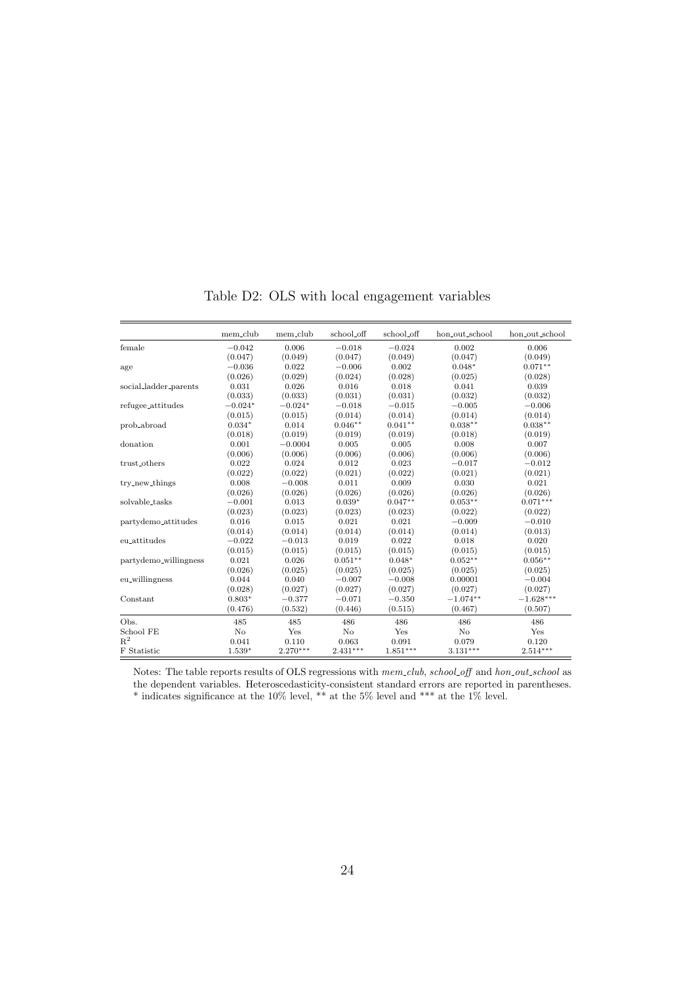|                       | mem_club  | mem_club   | school_off | school_off | hon_out_school | hon_out_school |
|-----------------------|-----------|------------|------------|------------|----------------|----------------|
| female                | $-0.042$  | 0.006      | $-0.018$   | $-0.024$   | 0.002          | 0.006          |
|                       | (0.047)   | (0.049)    | (0.047)    | (0.049)    | (0.047)        | (0.049)        |
| age                   | $-0.036$  | 0.022      | $-0.006$   | 0.002      | $0.048*$       | $0.071**$      |
|                       | (0.026)   | (0.029)    | (0.024)    | (0.028)    | (0.025)        | (0.028)        |
| social_ladder_parents | 0.031     | 0.026      | 0.016      | 0.018      | 0.041          | 0.039          |
|                       | (0.033)   | (0.033)    | (0.031)    | (0.031)    | (0.032)        | (0.032)        |
| refugee_attitudes     | $-0.024*$ | $-0.024*$  | $-0.018$   | $-0.015$   | $-0.005$       | $-0.006$       |
|                       | (0.015)   | (0.015)    | (0.014)    | (0.014)    | (0.014)        | (0.014)        |
| prob_abroad           | $0.034*$  | 0.014      | $0.046**$  | $0.041**$  | $0.038**$      | $0.038**$      |
|                       | (0.018)   | (0.019)    | (0.019)    | (0.019)    | (0.018)        | (0.019)        |
| donation              | 0.001     | $-0.0004$  | 0.005      | 0.005      | 0.008          | 0.007          |
|                       | (0.006)   | (0.006)    | (0.006)    | (0.006)    | (0.006)        | (0.006)        |
| trust_others          | 0.022     | 0.024      | 0.012      | 0.023      | $-0.017$       | $-0.012$       |
|                       | (0.022)   | (0.022)    | (0.021)    | (0.022)    | (0.021)        | (0.021)        |
| try_new_things        | 0.008     | $-0.008$   | 0.011      | 0.009      | 0.030          | 0.021          |
|                       | (0.026)   | (0.026)    | (0.026)    | (0.026)    | (0.026)        | (0.026)        |
| solvable_tasks        | $-0.001$  | 0.013      | $0.039*$   | $0.047**$  | $0.053**$      | $0.071***$     |
|                       | (0.023)   | (0.023)    | (0.023)    | (0.023)    | (0.022)        | (0.022)        |
| partydemo_attitudes   | 0.016     | 0.015      | 0.021      | 0.021      | $-0.009$       | $-0.010$       |
|                       | (0.014)   | (0.014)    | (0.014)    | (0.014)    | (0.014)        | (0.013)        |
| eu_attitudes          | $-0.022$  | $-0.013$   | 0.019      | 0.022      | 0.018          | 0.020          |
|                       | (0.015)   | (0.015)    | (0.015)    | (0.015)    | (0.015)        | (0.015)        |
| partydemo_willingness | 0.021     | 0.026      | $0.051**$  | $0.048*$   | $0.052**$      | $0.056**$      |
|                       | (0.026)   | (0.025)    | (0.025)    | (0.025)    | (0.025)        | (0.025)        |
| eu_willingness        | 0.044     | 0.040      | $-0.007$   | $-0.008$   | 0.00001        | $-0.004$       |
|                       | (0.028)   | (0.027)    | (0.027)    | (0.027)    | (0.027)        | (0.027)        |
| Constant              | $0.803*$  | $-0.377$   | $-0.071$   | $-0.350$   | $-1.074**$     | $-1.628***$    |
|                       | (0.476)   | (0.532)    | (0.446)    | (0.515)    | (0.467)        | (0.507)        |
| Obs.                  | 485       | 485        | 486        | 486        | 486            | 486            |
| School FE             | $\rm No$  | Yes        | $\rm No$   | Yes        | $\rm No$       | Yes            |
| $R^2$                 | 0.041     | 0.110      | 0.063      | 0.091      | 0.079          | 0.120          |
| F Statistic           | 1.539*    | $2.270***$ | $2.431***$ | $1.851***$ | $3.131***$     | $2.514***$     |

Table D2: OLS with local engagement variables

Notes: The table reports results of OLS regressions with  $mem\_club, school\_off$  and  $hon\_out\_school$  as the dependent variables. Heteroscedasticity-consistent standard errors are reported in parentheses. \* indicates significance at the  $10\%$  level, \*\* at the 5% level and \*\*\* at the 1% level.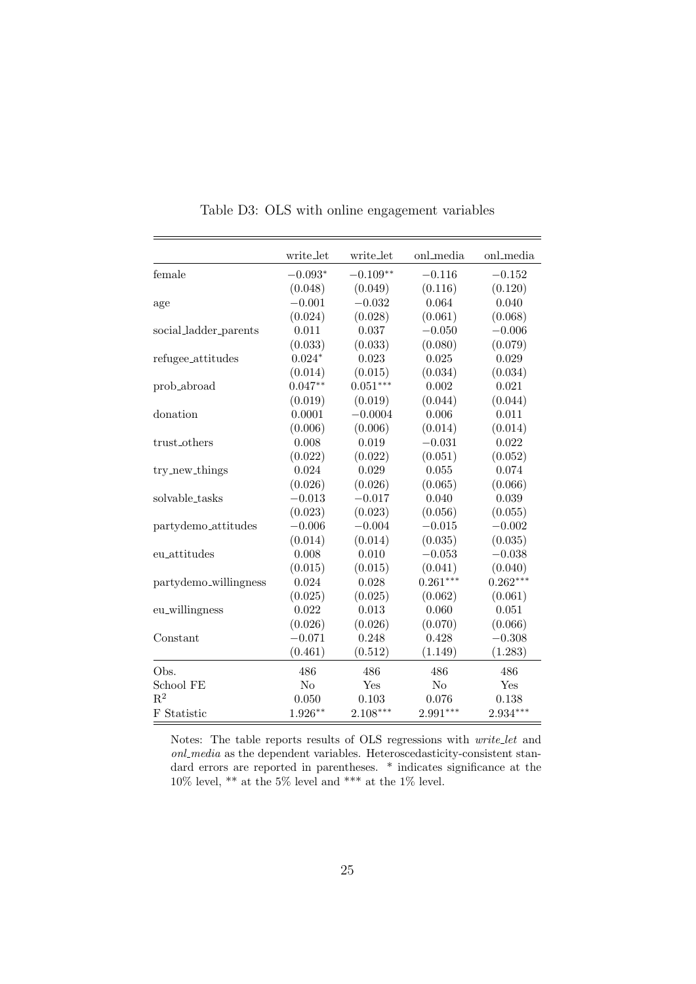<span id="page-25-0"></span>

|                                 | write_let | write_let  | onl_media  | onl_media  |
|---------------------------------|-----------|------------|------------|------------|
| female                          | $-0.093*$ | $-0.109**$ | $-0.116$   | $-0.152$   |
|                                 | (0.048)   | (0.049)    | (0.116)    | (0.120)    |
| age                             | $-0.001$  | $-0.032$   | 0.064      | 0.040      |
|                                 | (0.024)   | (0.028)    | (0.061)    | (0.068)    |
| social_ladder_parents           | 0.011     | 0.037      | $-0.050$   | $-0.006$   |
|                                 | (0.033)   | (0.033)    | (0.080)    | (0.079)    |
| refugee_attitudes               | $0.024*$  | 0.023      | 0.025      | 0.029      |
|                                 | (0.014)   | (0.015)    | (0.034)    | (0.034)    |
| prob_abroad                     | $0.047**$ | $0.051***$ | 0.002      | 0.021      |
|                                 | (0.019)   | (0.019)    | (0.044)    | (0.044)    |
| donation                        | 0.0001    | $-0.0004$  | 0.006      | 0.011      |
|                                 | (0.006)   | (0.006)    | (0.014)    | (0.014)    |
| trust_others                    | 0.008     | 0.019      | $-0.031$   | 0.022      |
|                                 | (0.022)   | (0.022)    | (0.051)    | (0.052)    |
| try_new_things                  | 0.024     | 0.029      | 0.055      | 0.074      |
|                                 | (0.026)   | (0.026)    | (0.065)    | (0.066)    |
| solvable_tasks                  | $-0.013$  | $-0.017$   | 0.040      | 0.039      |
|                                 | (0.023)   | (0.023)    | (0.056)    | (0.055)    |
| partydemo <sub>-attitudes</sub> | $-0.006$  | $-0.004$   | $-0.015$   | $-0.002$   |
|                                 | (0.014)   | (0.014)    | (0.035)    | (0.035)    |
| eu_attitudes                    | 0.008     | 0.010      | $-0.053$   | $-0.038$   |
|                                 | (0.015)   | (0.015)    | (0.041)    | (0.040)    |
| partydemo_willingness           | 0.024     | 0.028      | $0.261***$ | $0.262***$ |
|                                 | (0.025)   | (0.025)    | (0.062)    | (0.061)    |
| eu_willingness                  | 0.022     | 0.013      | 0.060      | 0.051      |
|                                 | (0.026)   | (0.026)    | (0.070)    | (0.066)    |
| Constant                        | $-0.071$  | 0.248      | 0.428      | $-0.308$   |
|                                 | (0.461)   | (0.512)    | (1.149)    | (1.283)    |
| Obs.                            | 486       | 486        | 486        | 486        |
| School FE                       | No        | Yes        | $\rm No$   | Yes        |
| $\mathbf{R}^2$                  | 0.050     | 0.103      | 0.076      | 0.138      |
| F Statistic                     | $1.926**$ | $2.108***$ | $2.991***$ | $2.934***$ |

Table D3: OLS with online engagement variables

Notes: The table reports results of OLS regressions with write let and onl media as the dependent variables. Heteroscedasticity-consistent standard errors are reported in parentheses. \* indicates significance at the 10% level, \*\* at the 5% level and \*\*\* at the 1% level.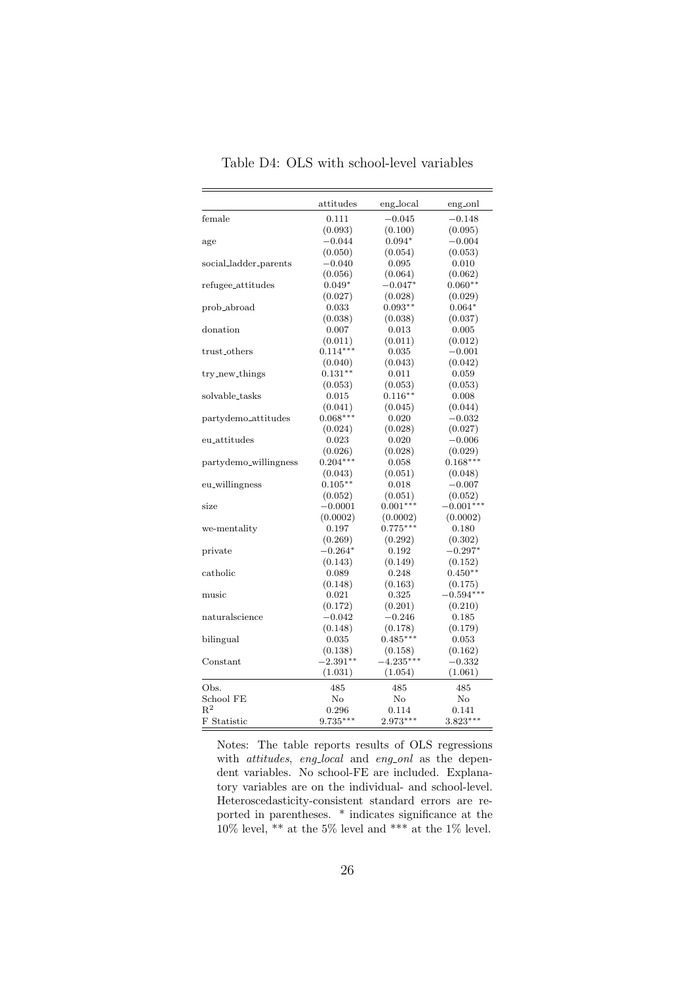<span id="page-26-0"></span>

|                       | attitudes  | eng_local   | eng_onl     |
|-----------------------|------------|-------------|-------------|
| female                | 0.111      | $-0.045$    | $-0.148$    |
|                       | (0.093)    | (0.100)     | (0.095)     |
| age                   | $-0.044$   | $0.094*$    | $-0.004$    |
|                       | (0.050)    | (0.054)     | (0.053)     |
| social_ladder_parents | $-0.040$   | 0.095       | 0.010       |
|                       | (0.056)    | (0.064)     | (0.062)     |
| refugee_attitudes     | $0.049*$   | $-0.047*$   | $0.060**$   |
|                       | (0.027)    | (0.028)     | (0.029)     |
| prob_abroad           | 0.033      | $0.093**$   | $0.064*$    |
|                       | (0.038)    | (0.038)     | (0.037)     |
| donation              | 0.007      | 0.013       | 0.005       |
|                       | (0.011)    | (0.011)     | (0.012)     |
| trust_others          | $0.114***$ | 0.035       | $-0.001$    |
|                       | (0.040)    | (0.043)     | (0.042)     |
| try_new_things        | $0.131**$  | 0.011       | 0.059       |
|                       | (0.053)    | (0.053)     | (0.053)     |
| solvable_tasks        | 0.015      | $0.116***$  | 0.008       |
|                       | (0.041)    | (0.045)     | (0.044)     |
| partydemo_attitudes   | $0.068***$ | 0.020       | $-0.032$    |
|                       | (0.024)    | (0.028)     | (0.027)     |
| eu_attitudes          | 0.023      | 0.020       | $-0.006$    |
|                       | (0.026)    | (0.028)     | (0.029)     |
| partydemo_willingness | $0.204***$ | 0.058       | $0.168***$  |
|                       | (0.043)    | (0.051)     | (0.048)     |
| eu_willingness        | $0.105***$ | 0.018       | $-0.007$    |
|                       | (0.052)    | (0.051)     | (0.052)     |
| size                  | $-0.0001$  | $0.001***$  | $-0.001***$ |
|                       | (0.0002)   | (0.0002)    | (0.0002)    |
| we-mentality          | 0.197      | $0.775***$  | 0.180       |
|                       | (0.269)    | (0.292)     | (0.302)     |
| private               | $-0.264*$  | 0.192       | $-0.297*$   |
|                       | (0.143)    | (0.149)     | (0.152)     |
| catholic              | 0.089      | 0.248       | $0.450**$   |
|                       | (0.148)    | (0.163)     | (0.175)     |
| music                 | 0.021      | 0.325       | $-0.594***$ |
|                       | (0.172)    | (0.201)     | (0.210)     |
| naturalscience        | $-0.042$   | $-0.246$    | 0.185       |
|                       | (0.148)    | (0.178)     | (0.179)     |
| bilingual             | 0.035      | $0.485***$  | 0.053       |
|                       | (0.138)    | (0.158)     | (0.162)     |
| Constant              | $-2.391**$ | $-4.235***$ | $-0.332$    |
|                       | (1.031)    | (1.054)     | (1.061)     |
| Obs.                  | 485        | 485         | 485         |
| School FE             | $\rm No$   | $\rm No$    | $\rm No$    |
| $R^2$                 | 0.296      | 0.114       | 0.141       |
| F Statistic           | $9.735***$ | $2.973***$  | $3.823***$  |

Table D4: OLS with school-level variables

Notes: The table reports results of OLS regressions with *attitudes*, eng<sub>-local</sub> and eng-onl as the dependent variables. No school-FE are included. Explanatory variables are on the individual- and school-level. Heteroscedasticity-consistent standard errors are reported in parentheses. \* indicates significance at the  $10\%$  level, \*\* at the 5% level and \*\*\* at the 1% level.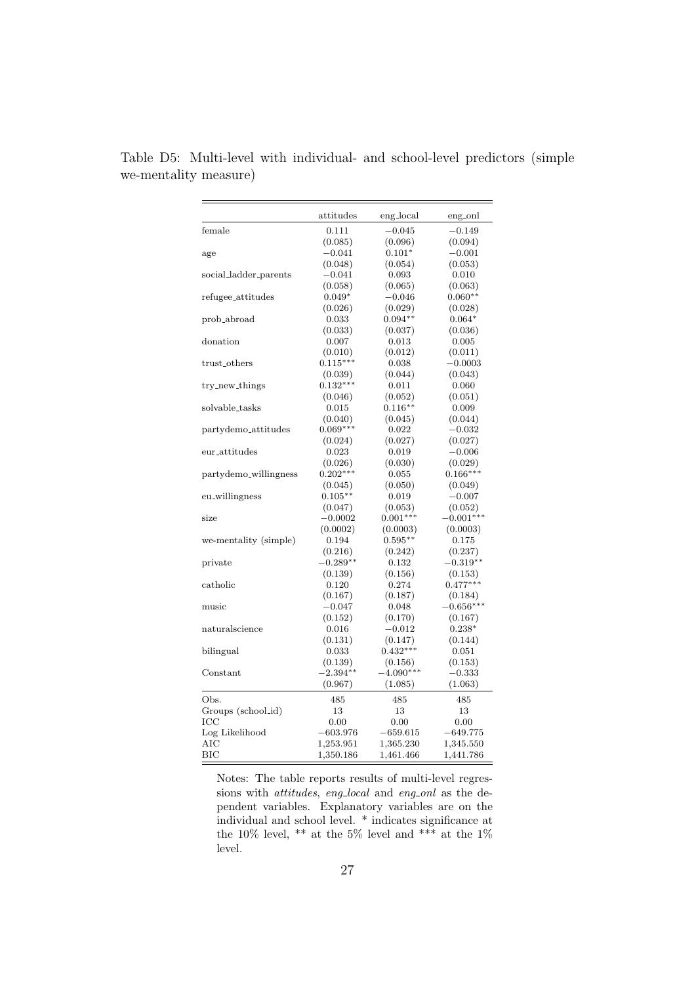|                       | attitudes   | eng_local             | eng <sub>-onl</sub>    |
|-----------------------|-------------|-----------------------|------------------------|
| female                | 0.111       | $-0.045$              | $-0.149$               |
|                       | (0.085)     | (0.096)               | (0.094)                |
| age                   | $-0.041$    | $0.101*$              | $-0.001$               |
|                       | (0.048)     | (0.054)               | (0.053)                |
| social_ladder_parents | $-0.041$    | 0.093                 | 0.010                  |
|                       | (0.058)     | (0.065)               | (0.063)                |
| refugee_attitudes     | $0.049*$    | $-0.046$              | $0.060**$              |
|                       | (0.026)     | (0.029)               | (0.028)                |
| prob_abroad           | 0.033       | $0.094**$             | $0.064*$               |
|                       | (0.033)     | (0.037)               | (0.036)                |
| donation              | 0.007       | 0.013                 | 0.005                  |
|                       | (0.010)     | (0.012)               | (0.011)                |
| trust_others          | $0.115***$  | 0.038                 | $-0.0003$              |
|                       | (0.039)     | (0.044)               | (0.043)                |
| try_new_things        | $0.132***$  | 0.011                 | 0.060                  |
|                       | (0.046)     | (0.052)               | (0.051)                |
| solvable_tasks        | 0.015       | $0.116***$            | 0.009                  |
|                       | (0.040)     | (0.045)               | (0.044)                |
| partydemo_attitudes   | $0.069***$  | 0.022                 | $-0.032$               |
|                       | (0.024)     | (0.027)               | (0.027)                |
| eur_attitudes         | $_{0.023}$  | 0.019                 | $-0.006$               |
|                       | (0.026)     | (0.030)               | (0.029)                |
| partydemo_willingness | $0.202***$  | 0.055                 | $0.166***$             |
|                       | (0.045)     | (0.050)               | (0.049)                |
| eu_willingness        | $0.105***$  | 0.019                 | $-0.007$               |
|                       | (0.047)     | (0.053)               | (0.052)                |
| size                  | $-0.0002$   | $0.001***$            | $-0.001***$            |
|                       | (0.0002)    | (0.0003)              | (0.0003)               |
| we-mentality (simple) | 0.194       | $0.595**$             | 0.175                  |
|                       | (0.216)     | (0.242)               | (0.237)                |
| private               | $-0.289**$  | 0.132                 | $-0.319**$             |
|                       | (0.139)     | (0.156)               | (0.153)                |
| catholic              | 0.120       |                       | $0.477***$             |
|                       |             | 0.274                 |                        |
|                       | (0.167)     | (0.187)               | (0.184)<br>$-0.656***$ |
| music                 | $-0.047$    | 0.048                 |                        |
|                       | (0.152)     | (0.170)               | (0.167)                |
| naturalscience        | 0.016       | $-0.012$              | $0.238*$               |
|                       | (0.131)     | (0.147)<br>$0.432***$ | (0.144)                |
| bilingual             | 0.033       |                       | 0.051                  |
|                       | (0.139)     | (0.156)               | (0.153)                |
| Constant              | $-2.394***$ | $-4.090***$           | $-0.333$               |
|                       | (0.967)     | (1.085)               | (1.063)                |
| Obs.                  | 485         | 485                   | 485                    |
| Groups (school_id)    | 13          | 13                    | 13                     |
| ICC                   | 0.00        | 0.00                  | 0.00                   |
| Log Likelihood        | $-603.976$  | $-659.615$            | $-649.775$             |
| AIC                   | 1,253.951   | 1,365.230             | 1,345.550              |
| BIC                   | 1,350.186   | 1,461.466             | 1,441.786              |

<span id="page-27-0"></span>Table D5: Multi-level with individual- and school-level predictors (simple we-mentality measure)

Notes: The table reports results of multi-level regressions with *attitudes*, eng<sub>-local</sub> and eng-onl as the dependent variables. Explanatory variables are on the individual and school level. \* indicates significance at the 10% level, \*\* at the 5% level and \*\*\* at the 1% level.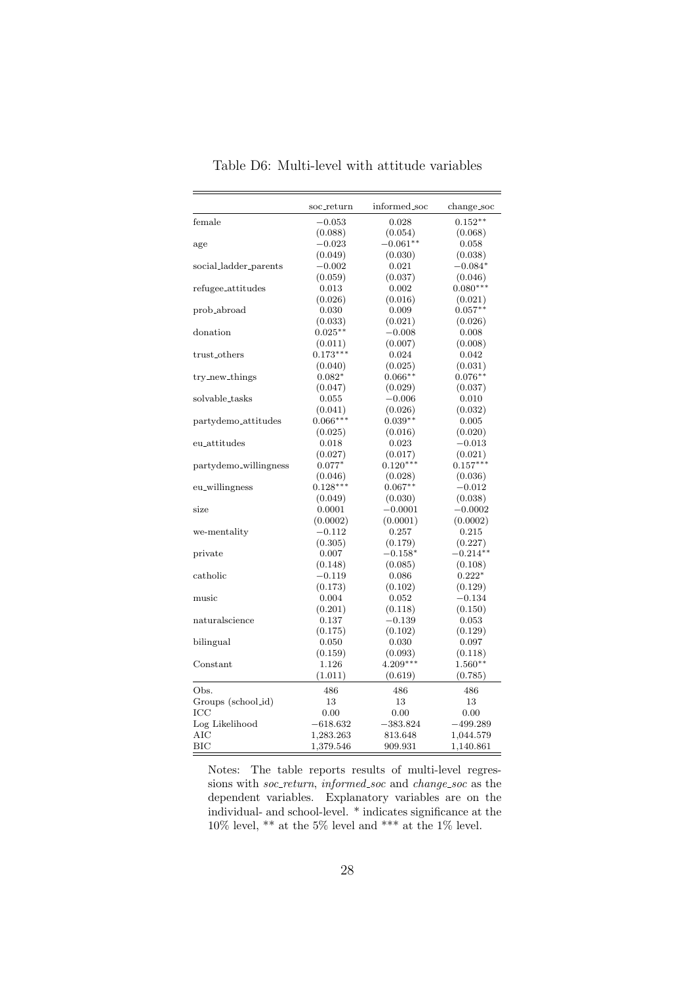<span id="page-28-0"></span>

|                       | soc_return  | informed_soc | change_soc |
|-----------------------|-------------|--------------|------------|
| female                | $-0.053$    | 0.028        | $0.152**$  |
|                       | (0.088)     | (0.054)      | (0.068)    |
| age                   | $-0.023$    | $-0.061**$   | 0.058      |
|                       | (0.049)     | (0.030)      | (0.038)    |
| social_ladder_parents | $-0.002$    | 0.021        | $-0.084*$  |
|                       | (0.059)     | (0.037)      | (0.046)    |
| refugee_attitudes     | 0.013       | 0.002        | $0.080***$ |
|                       | (0.026)     | (0.016)      | (0.021)    |
| prob_abroad           | 0.030       | 0.009        | $0.057**$  |
|                       | (0.033)     | (0.021)      | (0.026)    |
| donation              | $0.025**$   | $-0.008$     | 0.008      |
|                       | (0.011)     | (0.007)      | (0.008)    |
| trust_others          | $0.173***$  | 0.024        | 0.042      |
|                       | (0.040)     | (0.025)      | (0.031)    |
| try_new_things        | $0.082*$    | $0.066**$    | $0.076**$  |
|                       | (0.047)     | (0.029)      | (0.037)    |
| solvable_tasks        | $\,0.055\,$ | $-0.006$     | 0.010      |
|                       | (0.041)     | (0.026)      | (0.032)    |
| partydemo_attitudes   | $0.066***$  | $0.039**$    | 0.005      |
|                       | (0.025)     | (0.016)      | (0.020)    |
| eu_attitudes          | 0.018       | 0.023        | $-0.013$   |
|                       | (0.027)     | (0.017)      | (0.021)    |
| partydemo_willingness | $0.077*$    | $0.120***$   | $0.157***$ |
|                       | (0.046)     | (0.028)      | (0.036)    |
| eu_willingness        | $0.128***$  | $0.067**$    | $-0.012$   |
|                       | (0.049)     | (0.030)      | (0.038)    |
| size                  | 0.0001      | $-0.0001$    | $-0.0002$  |
|                       | (0.0002)    | (0.0001)     | (0.0002)   |
| we-mentality          | $-0.112$    | 0.257        | 0.215      |
|                       | (0.305)     | (0.179)      | (0.227)    |
| private               | 0.007       | $-0.158*$    | $-0.214**$ |
|                       | (0.148)     | (0.085)      | (0.108)    |
| catholic              | $-0.119$    | 0.086        | $0.222*$   |
|                       | (0.173)     | (0.102)      | (0.129)    |
| music                 | 0.004       | 0.052        | $-0.134$   |
|                       | (0.201)     | (0.118)      | (0.150)    |
| naturalscience        | 0.137       | $-0.139$     | 0.053      |
|                       |             |              |            |
|                       | (0.175)     | (0.102)      | (0.129)    |
| bilingual             | 0.050       | 0.030        | 0.097      |
|                       | (0.159)     | (0.093)      | (0.118)    |
| Constant              | 1.126       | $4.209***$   | $1.560**$  |
|                       | (1.011)     | (0.619)      | (0.785)    |
| Obs.                  | 486         | 486          | 486        |
| Groups (school_id)    | 13          | 13           | 13         |
| IСC                   | 0.00        | 0.00         | 0.00       |
| Log Likelihood        | $-618.632$  | $-383.824$   | $-499.289$ |
| AIC                   | 1,283.263   | 813.648      | 1,044.579  |
| $_{\rm BIC}$          | 1,379.546   | 909.931      | 1,140.861  |

Table D6: Multi-level with attitude variables

Notes: The table reports results of multi-level regressions with *soc\_return*, *informed\_soc* and *change\_soc* as the dependent variables. Explanatory variables are on the individual- and school-level. \* indicates significance at the  $10\%$  level, \*\* at the 5% level and \*\*\* at the 1% level.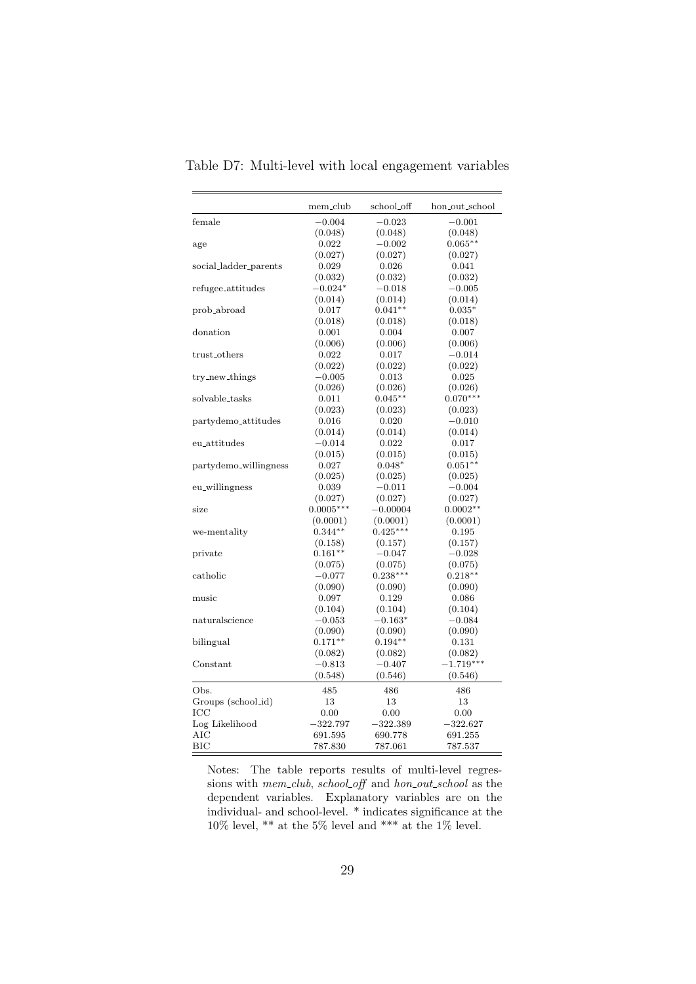|                       | mem_club    | school_off | hon_out_school |
|-----------------------|-------------|------------|----------------|
| female                | $-0.004$    | $-0.023$   | $-0.001$       |
|                       | (0.048)     | (0.048)    | (0.048)        |
| age                   | 0.022       | $-0.002$   | $0.065**$      |
|                       | (0.027)     | (0.027)    | (0.027)        |
| social_ladder_parents | 0.029       | 0.026      | 0.041          |
|                       | (0.032)     | (0.032)    | (0.032)        |
| refugee_attitudes     | $-0.024*$   | $-0.018$   | $-0.005$       |
|                       | (0.014)     | (0.014)    | (0.014)        |
| prob_abroad           | 0.017       | $0.041**$  | $0.035*$       |
|                       | (0.018)     | (0.018)    | (0.018)        |
| donation              | 0.001       | 0.004      | 0.007          |
|                       | (0.006)     | (0.006)    | (0.006)        |
| trust_others          | 0.022       | 0.017      | $-0.014$       |
|                       | (0.022)     | (0.022)    | (0.022)        |
| try_new_things        | $-0.005$    | 0.013      | 0.025          |
|                       | (0.026)     | (0.026)    | (0.026)        |
| solvable_tasks        | 0.011       | $0.045**$  | $0.070***$     |
|                       | (0.023)     | (0.023)    | (0.023)        |
| partydemo_attitudes   | 0.016       | 0.020      | $-0.010$       |
|                       | (0.014)     | (0.014)    | (0.014)        |
| eu_attitudes          | $-0.014$    | 0.022      | 0.017          |
|                       | (0.015)     | (0.015)    | (0.015)        |
| partydemo_willingness | 0.027       | $0.048*$   | $0.051**$      |
|                       | (0.025)     | (0.025)    | (0.025)        |
| eu_willingness        | 0.039       | $-0.011$   | $-0.004$       |
|                       | (0.027)     | (0.027)    | (0.027)        |
| size                  | $0.0005***$ | $-0.00004$ | $0.0002**$     |
|                       | (0.0001)    | (0.0001)   | (0.0001)       |
| we-mentality          | $0.344**$   | $0.425***$ | 0.195          |
|                       | (0.158)     | (0.157)    | (0.157)        |
| private               | $0.161**$   | $-0.047$   | $-0.028$       |
|                       | (0.075)     | (0.075)    | (0.075)        |
| catholic              | $-0.077$    | $0.238***$ | $0.218***$     |
|                       | (0.090)     | (0.090)    | (0.090)        |
| music                 | 0.097       | 0.129      | 0.086          |
|                       | (0.104)     | (0.104)    | (0.104)        |
| naturalscience        | $-0.053$    | $-0.163^*$ | $-0.084$       |
|                       | (0.090)     | (0.090)    | (0.090)        |
| bilingual             | $0.171**$   | $0.194**$  | 0.131          |
|                       | (0.082)     | (0.082)    | (0.082)        |
| Constant              | $-0.813$    | $-0.407$   | $-1.719***$    |
|                       |             |            |                |
|                       | (0.548)     | (0.546)    | (0.546)        |
| Obs.                  | 485         | 486        | 486            |
| Groups (school_id)    | 13          | 13         | 13             |
| ICC                   | 0.00        | 0.00       | 0.00           |
| Log Likelihood        | $-322.797$  | $-322.389$ | $-322.627$     |
| AIC                   | 691.595     | 690.778    | 691.255        |
| BIC                   | 787.830     | 787.061    | 787.537        |

Table D7: Multi-level with local engagement variables

Notes: The table reports results of multi-level regressions with mem\_club, school\_off and hon\_out\_school as the dependent variables. Explanatory variables are on the individual- and school-level. \* indicates significance at the  $10\%$  level, \*\* at the 5% level and \*\*\* at the 1% level.